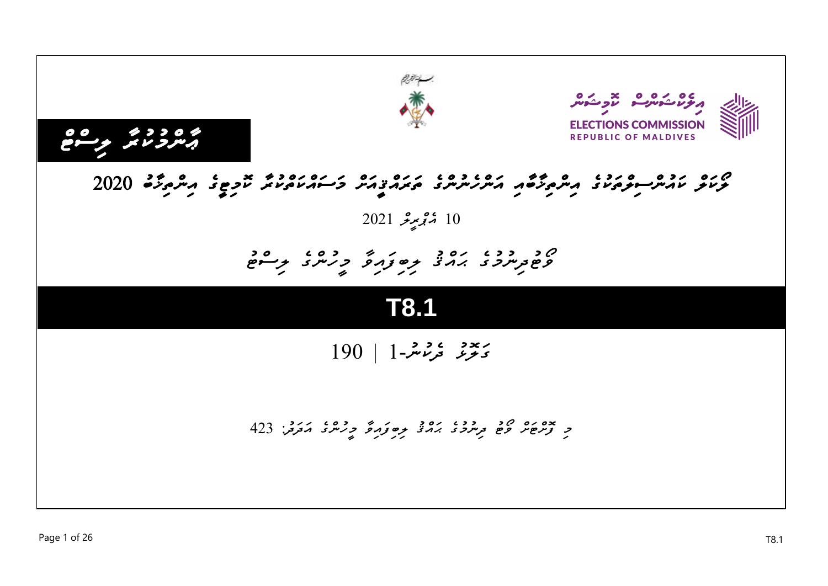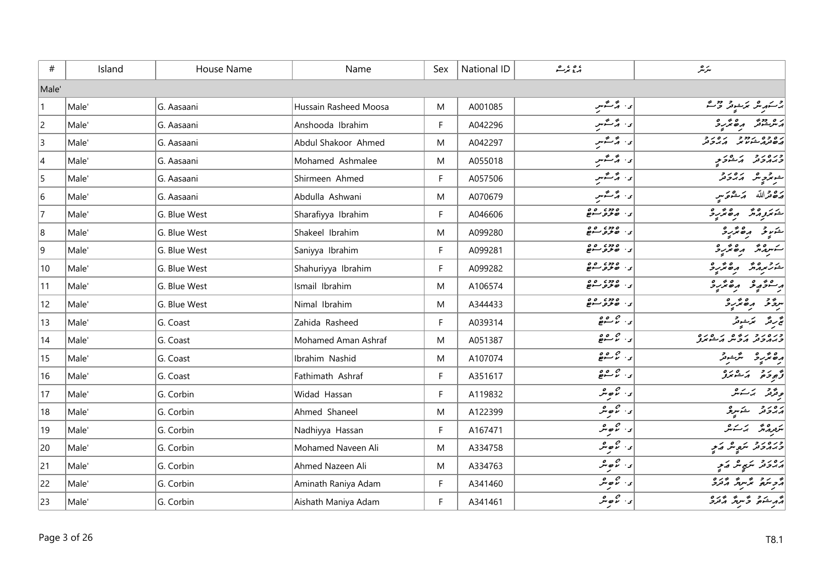| #               | Island | House Name   | Name                  | Sex       | National ID | ، ه ، ره<br>مر: برگ                                                                                                                                                                                                                               | ىئرىتر                                              |
|-----------------|--------|--------------|-----------------------|-----------|-------------|---------------------------------------------------------------------------------------------------------------------------------------------------------------------------------------------------------------------------------------------------|-----------------------------------------------------|
| Male'           |        |              |                       |           |             |                                                                                                                                                                                                                                                   |                                                     |
| 1               | Male'  | G. Aasaani   | Hussain Rasheed Moosa | ${\sf M}$ | A001085     | ى ئەشەھىر                                                                                                                                                                                                                                         | چە سەر سى سىر سىر تەر ج                             |
| $ 2\rangle$     | Male'  | G. Aasaani   | Anshooda Ibrahim      | F         | A042296     | ى ئەشەھىر                                                                                                                                                                                                                                         | ر مردور مره بر در                                   |
| $\vert$ 3       | Male'  | G. Aasaani   | Abdul Shakoor Ahmed   | M         | A042297     | ى ئەشەھىر                                                                                                                                                                                                                                         | ره وه ردود در ره رو<br>مقام شوند مدروتر             |
| $\vert 4$       | Male'  | G. Aasaani   | Mohamed Ashmalee      | M         | A055018     | ۔<br>ا <sup>ی ق</sup> ریت میں                                                                                                                                                                                                                     | ورەرو كەشىمى                                        |
| $\overline{5}$  | Male'  | G. Aasaani   | Shirmeen Ahmed        | F         | A057506     | ۔<br>یہ مرگ شعر                                                                                                                                                                                                                                   | شوند حربه مدرد حر                                   |
| $\vert 6 \vert$ | Male'  | G. Aasaani   | Abdulla Ashwani       | ${\sf M}$ | A070679     | ۔<br>ا <sup>ی ق</sup> ریت میں                                                                                                                                                                                                                     | أرەقراللە كەشمۇس                                    |
| $\vert$ 7       | Male'  | G. Blue West | Sharafiyya Ibrahim    | F         | A046606     | ه دود و ده و ه<br>د ۱ کله مولو ک                                                                                                                                                                                                                  | شترومد مقترره                                       |
| 8               | Male'  | G. Blue West | Shakeel Ibrahim       | ${\sf M}$ | A099280     | ه دوده وه<br>د ۰ م <i>وو</i> سوم                                                                                                                                                                                                                  | شورقر مرەتمرىر                                      |
| 9               | Male'  | G. Blue West | Saniyya Ibrahim       | F         | A099281     | ه دوه ده وه<br>د ۱ کلوموسو                                                                                                                                                                                                                        | سُميدة مُصَمَّرِة                                   |
| 10              | Male'  | G. Blue West | Shahuriyya Ibrahim    | F         | A099282     | ه دوم ده وه<br>د ۱ کلوموسو                                                                                                                                                                                                                        | شرور مديدة                                          |
| 11              | Male'  | G. Blue West | Ismail Ibrahim        | ${\sf M}$ | A106574     | ه ۶۶۰ وه<br>د گلوگو شو                                                                                                                                                                                                                            | ر عۇرپۇ رەتئەپ                                      |
| 12              | Male'  | G. Blue West | Nimal Ibrahim         | M         | A344433     | ه دوم ده وه<br>د ۱ کلوموسو                                                                                                                                                                                                                        | برد د مورد<br>برد د مورد                            |
| 13              | Male'  | G. Coast     | Zahida Rasheed        | F         | A039314     | ی گړه ه                                                                                                                                                                                                                                           | چ <i>گردگر مرکشون</i> گر                            |
| 14              | Male'  | G. Coast     | Mohamed Aman Ashraf   | ${\sf M}$ | A051387     | $\stackrel{o}{\underbrace{\phantom{\mathsf{g}}\mathsf{g}}\mathsf{g}}\stackrel{\sigma}{\underbrace{\mathsf{g}}\mathsf{g}}\cdot\stackrel{\sigma}{\underbrace{\mathsf{g}}\mathsf{g}}$                                                                | ورەر د روە رەرە<br><mark>دىرەرىر ەرس كەشىرتى</mark> |
| 15              | Male'  | G. Coast     | Ibrahim Nashid        | M         | A107074     | ی گړه هم                                                                                                                                                                                                                                          | ى <i>ر ھىگرى ھى</i> گىشوتر                          |
| 16              | Male'  | G. Coast     | Fathimath Ashraf      | F         | A351617     | $rac{\circ}{\circ}$ $rac{\circ}{\circ}$ $rac{\circ}{\circ}$                                                                                                                                                                                       | و د د مشموره                                        |
| 17              | Male'  | G. Corbin    | Widad Hassan          | F         | A119832     | $\begin{array}{c c} \mathcal{Q} & \mathcal{Q} & \mathcal{Q} \end{array}$                                                                                                                                                                          | وقرقر كاسكانس                                       |
| 18              | Male'  | G. Corbin    | Ahmed Shaneel         | M         | A122399     | $\begin{array}{c c} \hline \begin{array}{c} \mathcal{L} \\ \mathcal{L} \end{array} \\ \hline \begin{array}{c} \mathcal{L} \\ \mathcal{L} \end{array} \end{array} \end{array} \begin{array}{c} \mathcal{L} \\ \mathcal{L} \end{array} \end{array}$ | پرورو شکسپو                                         |
| 19              | Male'  | G. Corbin    | Nadhiyya Hassan       | F         | A167471     | $\overbrace{\phantom{0}5.0}^{0.0000000}\cdot 5$                                                                                                                                                                                                   | أسرور برسك                                          |
| 20              | Male'  | G. Corbin    | Mohamed Naveen Ali    | M         | A334758     | ى ، ئۈھ بىر                                                                                                                                                                                                                                       | ويرە يەدە سكوپىر مكرم                               |
| 21              | Male'  | G. Corbin    | Ahmed Nazeen Ali      | M         | A334763     | ى ئەھبىر                                                                                                                                                                                                                                          | ړه د تر سکي شر له پر                                |
| 22              | Male'  | G. Corbin    | Aminath Raniya Adam   | F         | A341460     | $rac{2}{\sqrt{6}}$                                                                                                                                                                                                                                | أأرجع للمستر أأترد                                  |
| 23              | Male'  | G. Corbin    | Aishath Maniya Adam   | F         | A341461     | ى ئەھىر                                                                                                                                                                                                                                           | أثهر شنعى تحسيره أحده                               |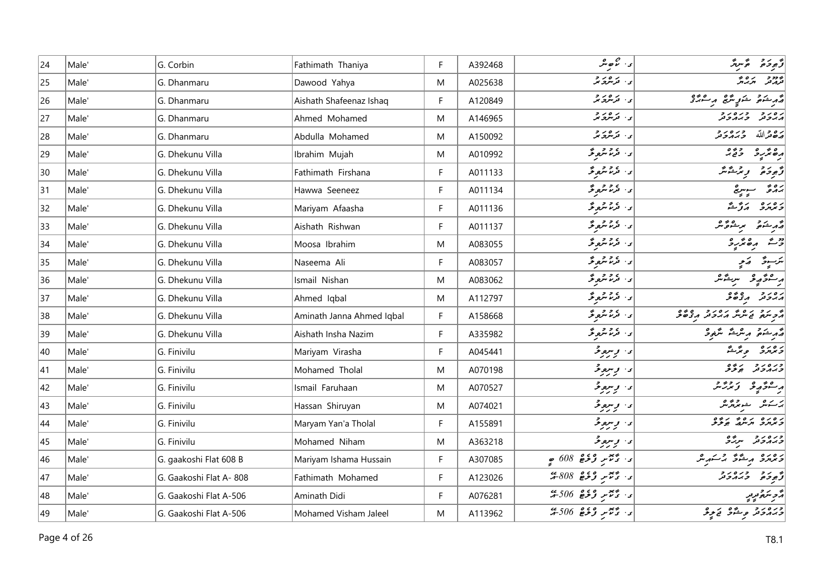| 24 | Male' | G. Corbin              | Fathimath Thaniya         | F         | A392468 | <br> د ، ماڻهو                                 | أزموختم مؤسرته                          |
|----|-------|------------------------|---------------------------|-----------|---------|------------------------------------------------|-----------------------------------------|
| 25 | Male' | G. Dhanmaru            | Dawood Yahya              | ${\sf M}$ | A025638 | ر مرور د<br>د افرمگر <del>م</del> ر            | ے دو برہ ہے<br>افرا <i>ز کربر اگر</i>   |
| 26 | Male' | G. Dhanmaru            | Aishath Shafeenaz Ishaq   | F         | A120849 | ا د . مر <i>مرد</i> تر                         | ۇرىشكى ئىكرىتى رىش                      |
| 27 | Male' | G. Dhanmaru            | Ahmed Mohamed             | M         | A146965 | ى - قرنترىز تر                                 | رور ورورو                               |
| 28 | Male' | G. Dhanmaru            | Abdulla Mohamed           | M         | A150092 | ى بەر ئەرىج                                    | و رە ر د<br><i>د بە</i> پەر<br>ەھىراللە |
| 29 | Male' | G. Dhekunu Villa       | Ibrahim Mujah             | ${\sf M}$ | A010992 | ى ئەرەمبىرىگە                                  | دە ئەر دەر                              |
| 30 | Male' | G. Dhekunu Villa       | Fathimath Firshana        | F         | A011133 | ى ئورا ئىر ئىر                                 | أزوده وبرشاشر                           |
| 31 | Male' | G. Dhekunu Villa       | Hawwa Seeneez             | F         | A011134 | ى ئەدە تەرى                                    | $rac{2}{3}$                             |
| 32 | Male' | G. Dhekunu Villa       | Mariyam Afaasha           | F         | A011136 | ، ئەرەتىرىدۇ.<br>-                             | رەرە بەئىگە                             |
| 33 | Male' | G. Dhekunu Villa       | Aishath Rishwan           | F         | A011137 | ، ئەرەبىرىدىگە                                 | $rac{1}{2}$                             |
| 34 | Male' | G. Dhekunu Villa       | Moosa Ibrahim             | M         | A083055 | ، ئۇرت <sub>ى</sub> تر <sub>ىم</sub> ۇ         |                                         |
| 35 | Male' | G. Dhekunu Villa       | Naseema Ali               | F         | A083057 | ى ئەرەتمۇمۇ                                    | لترسوق الأمج                            |
| 36 | Male' | G. Dhekunu Villa       | Ismail Nishan             | M         | A083062 | ى ئەرەمبۇر                                     | رىقۇرۇ بىشگ                             |
| 37 | Male' | G. Dhekunu Villa       | Ahmed Iqbal               | ${\sf M}$ | A112797 | <sub>ی</sub> می شروعه                          |                                         |
| 38 | Male' | G. Dhekunu Villa       | Aminath Janna Ahmed Iqbal | F         | A158668 | ئ ئۇرىمىتىرىگە                                 | ה ני ני ני ני ני ני ני לי הי בי ה       |
| 39 | Male' | G. Dhekunu Villa       | Aishath Insha Nazim       | F         | A335982 | <br> د· مر ما متنفر محمد                       | وأرخو رعبث عروق                         |
| 40 | Male' | G. Finivilu            | Mariyam Virasha           | F         | A045441 | ء ويبروتر                                      | وبروره وبمرش                            |
| 41 | Male' | G. Finivilu            | Mohamed Tholal            | M         | A070198 | <sub>ی</sub> و سره د                           | ورەر در رە                              |
| 42 | Male' | G. Finivilu            | Ismail Faruhaan           | M         | A070527 | ار · و سره د                                   | وستوصي وترقيق                           |
| 43 | Male' | G. Finivilu            | Hassan Shiruyan           | M         | A074021 | <sub>ی</sub> و سره د                           | ىركىش شوچرىقىش                          |
| 44 | Male' | G. Finivilu            | Maryam Yan'a Tholal       | F         | A155891 | ی وسروتر                                       | נ 2010 נפשה הביב                        |
| 45 | Male' | G. Finivilu            | Mohamed Niham             | M         | A363218 |                                                | ورەر دەرد                               |
| 46 | Male' | G. gaakoshi Flat 608 B | Mariyam Ishama Hussain    | F         | A307085 | $\frac{1}{2}$ ، دسمبر ولاده و 608 ھ            | دەرە رېشۇ جىشرىگ                        |
| 47 | Male' | G. Gaakoshi Flat A-808 | Fathimath Mohamed         | F         | A123026 | $3.808$ ويومبر وعظ ا                           | 21013 22.31                             |
| 48 | Male' | G. Gaakoshi Flat A-506 | Aminath Didi              | F         | A076281 | $506$ وَتَمْسِ وَكَرْهِ $506$                  | تر حر سر تحریب<br>  تر حر سر تحریب      |
| 49 | Male' | G. Gaakoshi Flat A-506 | Mohamed Visham Jaleel     | ${\sf M}$ | A113962 | $\overline{\mathcal{L}}$ ى ئىمىس ۋىچى 506 يىلى | ورەر و پەۋە ئەب                         |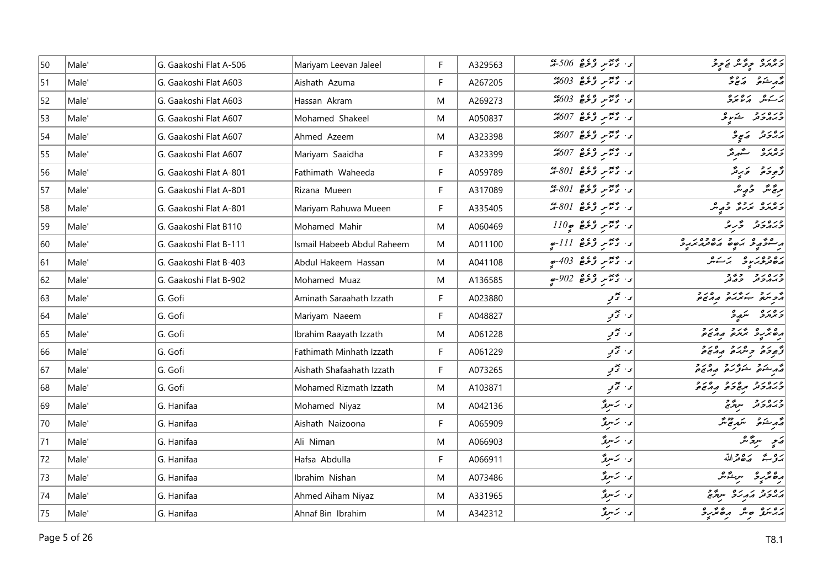| 50 | Male' | G. Gaakoshi Flat A-506 | Mariyam Leevan Jaleel      | F  | A329563 | $\frac{22}{7}$ ى بەللەر ۋېخى 506-يى                                                                                                                                                                                                                                                                                                                                                                                                                     | د دره پی شه نمی د             |
|----|-------|------------------------|----------------------------|----|---------|---------------------------------------------------------------------------------------------------------------------------------------------------------------------------------------------------------------------------------------------------------------------------------------------------------------------------------------------------------------------------------------------------------------------------------------------------------|-------------------------------|
| 51 | Male' | G. Gaakoshi Flat A603  | Aishath Azuma              | F  | A267205 | $5603$ وسم ودي الله الله عليه الله عليه الله عليه الله عليه الله عليه الله عليه الله عليه الله عليه الله عليه الله ا                                                                                                                                                                                                                                                                                                                                    | أوكر مشكوح الروائح            |
| 52 | Male' | G. Gaakoshi Flat A603  | Hassan Akram               | M  | A269273 | $3603$ ومحمد ومحمد والملكمين المستعمر والمستعمر المستعمر والمستعمر والمستعمر والمستعمر والمستعمر والمستعمر والمستعمر والمستعمر والمستعمر والمستعمر والمستعمر والمستعمر والمستعمر والمستعمر والمستعمر والمستعمر والمستعمر وال                                                                                                                                                                                                                            | برسەش مەمرە                   |
| 53 | Male' | G. Gaakoshi Flat A607  | Mohamed Shakeel            | M  | A050837 | $3607$ ومحمد ومحمد المستعمر والمستعمر المستعمر المستعمر المستعمر المستعمر المستعمر المستعمر المستعمر المستعمر المستعمر المستعمر المستعمر المستعمر المستعمر المستعمر المستعمر المستعمر المستعمر المستعمر المستعمر المستعمر ال                                                                                                                                                                                                                            | ورەرو خىرو                    |
| 54 | Male' | G. Gaakoshi Flat A607  | Ahmed Azeem                | M  | A323398 | $2.607$ و د و د و د د د د د د مال کالګري و د د مالګري او د د مالګري و د د د مالګري واک                                                                                                                                                                                                                                                                                                                                                                  | ג פי ג' בְּבְ                 |
| 55 | Male' | G. Gaakoshi Flat A607  | Mariyam Saaidha            | F. | A323399 | $3607$ و محمد و دو دين د د انداز د د انداز د د انداز د د انداز د د انداز د د انداز د د انداز د د انداز د د انداز د د                                                                                                                                                                                                                                                                                                                                    | زەرە شەرقە                    |
| 56 | Male' | G. Gaakoshi Flat A-801 | Fathimath Waheeda          | F  | A059789 | $3.801$ و محمد و دو ا                                                                                                                                                                                                                                                                                                                                                                                                                                   | وحيحتم تحاريته                |
| 57 | Male' | G. Gaakoshi Flat A-801 | Rizana Mueen               | F  | A317089 | $3 - 801$ وغم وغير والم                                                                                                                                                                                                                                                                                                                                                                                                                                 | بریچ نثر ۔ وہر نثر            |
| 58 | Male' | G. Gaakoshi Flat A-801 | Mariyam Rahuwa Mueen       | F  | A335405 | $\frac{22}{7} - 801$ و محمد مع ال                                                                                                                                                                                                                                                                                                                                                                                                                       | رەرە روە وريد                 |
| 59 | Male' | G. Gaakoshi Flat B110  | Mohamed Mahir              | M  | A060469 | $110$ ء مجموع وكروع و                                                                                                                                                                                                                                                                                                                                                                                                                                   |                               |
| 60 | Male' | G. Gaakoshi Flat B-111 | Ismail Habeeb Abdul Raheem | M  | A011100 |                                                                                                                                                                                                                                                                                                                                                                                                                                                         |                               |
| 61 | Male' | G. Gaakoshi Flat B-403 | Abdul Hakeem Hassan        | M  | A041108 | $\left  \begin{array}{c} 2 \left(1 + \frac{1}{2} \right) \left(1 + \frac{1}{2} \right) \left(1 + \frac{1}{2} \right) \left(1 + \frac{1}{2} \right) \left(1 + \frac{1}{2} \right) \left(1 + \frac{1}{2} \right) \left(1 + \frac{1}{2} \right) \left(1 + \frac{1}{2} \right) \left(1 + \frac{1}{2} \right) \left(1 + \frac{1}{2} \right) \left(1 + \frac{1}{2} \right) \left(1 + \frac{1}{2} \right) \left(1 + \frac{1}{2} \right) \left(1 + \frac{1}{2}$ | נפרפנים נגרים<br>השתתמון כ    |
| 62 | Male' | G. Gaakoshi Flat B-902 | Mohamed Muaz               | M  | A136585 | $\sim$ وَتَمْسِ وَوَقَعْ 902 ھِ $\sim$                                                                                                                                                                                                                                                                                                                                                                                                                  | כנסנכ כבב<br>כגתכת כבת        |
| 63 | Male' | G. Gofi                | Aminath Saraahath Izzath   | F  | A023880 | ى بىمىمى                                                                                                                                                                                                                                                                                                                                                                                                                                                |                               |
| 64 | Male' | G. Gofi                | Mariyam Naeem              | F. | A048827 | ى بىچىمى                                                                                                                                                                                                                                                                                                                                                                                                                                                | ב זחב המכ                     |
| 65 | Male' | G. Gofi                | Ibrahim Raayath Izzath     | M  | A061228 | ى بىچىمى                                                                                                                                                                                                                                                                                                                                                                                                                                                | תפת כ תתם התאם                |
| 66 | Male' | G. Gofi                | Fathimath Minhath Izzath   | F. | A061229 | ى بىچى                                                                                                                                                                                                                                                                                                                                                                                                                                                  | ومجمع وسمده مدموم             |
| 67 | Male' | G. Gofi                | Aishath Shafaahath Izzath  | F. | A073265 | ار به نیمو                                                                                                                                                                                                                                                                                                                                                                                                                                              | أقهر مشوق مشوقر رحام والمنافع |
| 68 | Male' | G. Gofi                | Mohamed Rizmath Izzath     | M  | A103871 | ر به سمجو <del>به</del>                                                                                                                                                                                                                                                                                                                                                                                                                                 | כנסני ביטר סני                |
| 69 | Male' | G. Hanifaa             | Mohamed Niyaz              | M  | A042136 | ى - ئەسرۇ                                                                                                                                                                                                                                                                                                                                                                                                                                               | כנסני מדי                     |
| 70 | Male' | G. Hanifaa             | Aishath Naizoona           | F  | A065909 | ى - ئەسرىگە                                                                                                                                                                                                                                                                                                                                                                                                                                             | ۇرمىنو سەھ                    |
| 71 | Male' | G. Hanifaa             | Ali Niman                  | M  | A066903 | ى - ئەسروگە                                                                                                                                                                                                                                                                                                                                                                                                                                             | أرشح المرتجند                 |
| 72 | Male' | G. Hanifaa             | Hafsa Abdulla              | F  | A066911 | <mark>ء - رَسِرَ</mark> ّ                                                                                                                                                                                                                                                                                                                                                                                                                               | برقوبة كده قرالله             |
| 73 | Male' | G. Hanifaa             | Ibrahim Nishan             | M  | A073486 | ء - شهردٌ                                                                                                                                                                                                                                                                                                                                                                                                                                               | رەڭرىۋا سىشكىر                |
| 74 | Male' | G. Hanifaa             | Ahmed Aiham Niyaz          | M  | A331965 | ء کا سرچم                                                                                                                                                                                                                                                                                                                                                                                                                                               | أيرود ومرزو سردة              |
| 75 | Male' | G. Hanifaa             | Ahnaf Bin Ibrahim          | M  | A342312 | ى - ئەسرىگە                                                                                                                                                                                                                                                                                                                                                                                                                                             | גפני פית הפיתים               |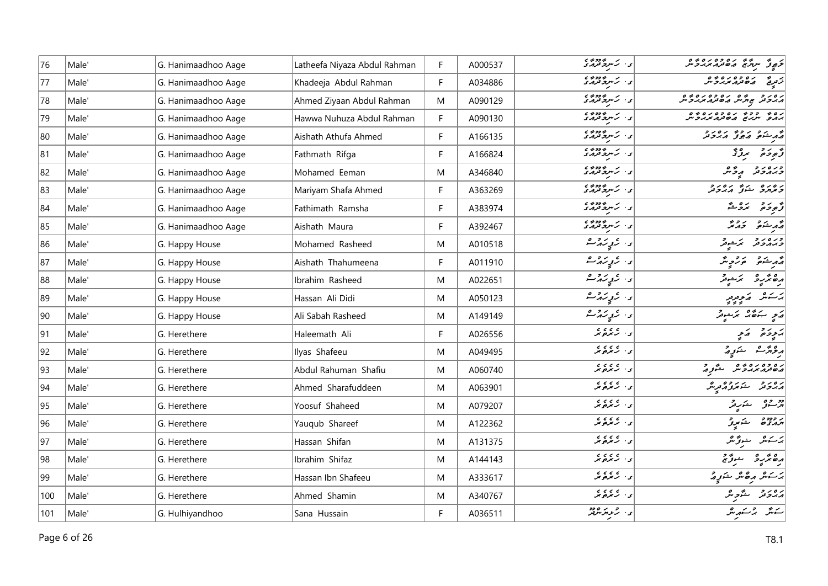| 76  | Male' | G. Hanimaadhoo Aage | Latheefa Niyaza Abdul Rahman | F         | A000537 | و . که سرگروه و .<br>و . که سرگرفترانرو | تر و مردم ده ده ده ده.<br>نورو مردم مهنور مردم             |
|-----|-------|---------------------|------------------------------|-----------|---------|-----------------------------------------|------------------------------------------------------------|
| 77  | Male' | G. Hanimaadhoo Aage | Khadeeja Abdul Rahman        | F         | A034886 | ى سىر ئەدەبىي<br>ي                      | ره وه ره ده و<br>پره تربر تر تر<br>تزويج                   |
| 78  | Male' | G. Hanimaadhoo Aage | Ahmed Ziyaan Abdul Rahman    | ${\sf M}$ | A090129 | ی که پروژه د                            | ג סג כן ג'ם ג'ם כסגם ג'ם<br>הגב בריית הסבקה <i>בגיב</i> ית |
| 79  | Male' | G. Hanimaadhoo Aage | Hawwa Nuhuza Abdul Rahman    | F         | A090130 | ى سىر ئەدەبىي<br>ي                      | נסט ככט נסכסנסטים<br>גרנפ יינגיג השנקה <i>ב</i> גבית       |
| 80  | Male' | G. Hanimaadhoo Aage | Aishath Athufa Ahmed         | F         | A166135 | ی که مرکزده بر<br>د که مرکز مرد د       | و مشرح د ده د د در د                                       |
| 81  | Male' | G. Hanimaadhoo Aage | Fathmath Rifga               | F         | A166824 | ی که پروژه ده<br>ی که پروگروی           | قەدىقى ئىرقىگە                                             |
| 82  | Male' | G. Hanimaadhoo Aage | Mohamed Eeman                | M         | A346840 | و . کرسرو به دونه و<br>و . کرسرو ترور و | ورەرو رۇپر                                                 |
| 83  | Male' | G. Hanimaadhoo Aage | Mariyam Shafa Ahmed          | F         | A363269 | ر به سرچ وره د<br>د ۱ کرسرچ ورور د      | رەرە بەيرى دەرو<br><mark>جەيرى شۆتى مەر</mark> جى          |
| 84  | Male' | G. Hanimaadhoo Aage | Fathimath Ramsha             | F         | A383974 | ر به سرچه دره با<br>د ۱ سرچه دره د      | أزُّبُودَهُ كَرَدْ شَ                                      |
| 85  | Male' | G. Hanimaadhoo Aage | Aishath Maura                | F         | A392467 | ی کسرد وروه با<br>به کسرد فرور          | أقهر شكو المروامي                                          |
| 86  | Male' | G. Happy House      | Mohamed Rasheed              | M         | A010518 | ، ئۇر <i>ى</i> رۇ م                     | ورەرو كەشەر<br>جەيرونى كەشەن                               |
| 87  | Male' | G. Happy House      | Aishath Thahumeena           | F         | A011910 | ، ئۇر <i>ى</i> ر ئە                     | و د د د د د شک                                             |
| 88  | Male' | G. Happy House      | Ibrahim Rasheed              | ${\sf M}$ | A022651 | ى ئەرىرىمىگە                            | ەر ھەترىر <i>3</i><br>بمرشوقر                              |
| 89  | Male' | G. Happy House      | Hassan Ali Didi              | M         | A050123 | ، ئۇر <i>ىدى</i><br>مە                  | ر کشتر کے ویزیر<br>ایر کشتر کے انتظام                      |
| 90  | Male' | G. Happy House      | Ali Sabah Rasheed            | M         | A149149 | ى ئەرىكەر ھ                             | أرو سنتصر برشوتر                                           |
| 91  | Male' | G. Herethere        | Haleemath Ali                | F         | A026556 | ے بے بے بے<br>بی کر مربی مر             | برَجِرَة - مَجِ                                            |
| 92  | Male' | G. Herethere        | Ilyas Shafeeu                | M         | A049495 | ے ے ے ے<br>ی- گر جرحی جر                | أرقرش الشرور                                               |
| 93  | Male' | G. Herethere        | Abdul Rahuman Shafiu         | M         | A060740 | ے بے بے بے<br>بی کر مربی مر             | ره ده ره ده و په د                                         |
| 94  | Male' | G. Herethere        | Ahmed Sharafuddeen           | ${\sf M}$ | A063901 | ے بے بے بے<br>بی کر مربی مر             | ره رو در رومبره<br>  <i>د.د</i> ونر شم <i>عرو</i> درمر     |
| 95  | Male' | G. Herethere        | Yoosuf Shaheed               | ${\sf M}$ | A079207 | ے بے بے بے<br>ب- کر مربی مر             | انز سنڌ ۾ ڪرينر<br>ا                                       |
| 96  | Male' | G. Herethere        | Yauqub Shareef               | M         | A122362 | ی به عروج می<br>ی به مرجوم              | ן כבב ב<br>חלות הם<br>ے کم سرو کر                          |
| 97  | Male' | G. Herethere        | Hassan Shifan                | M         | A131375 | ے بے بے بے<br>بی کر مربی مر             | پرسکسٹر ہے وگر مگر                                         |
| 98  | Male' | G. Herethere        | Ibrahim Shifaz               | M         | A144143 | ے بے بے بے<br>ب- گرمزہومز               | أرەش ئوق ئە                                                |
| 99  | Male' | G. Herethere        | Hassan Ibn Shafeeu           | ${\sf M}$ | A333617 | ے بے بے بے<br>بی سرجو بر                | يز ڪش رھش ڪري گ                                            |
| 100 | Male' | G. Herethere        | Ahmed Shamin                 | M         | A340767 | ر می ده در د                            | دەرو ھەرش                                                  |
| 101 | Male' | G. Hulhiyandhoo     | Sana Hussain                 | F         | A036511 | ی - گروپولیو دور<br>ت                   | سەنئە ئەسەملىر                                             |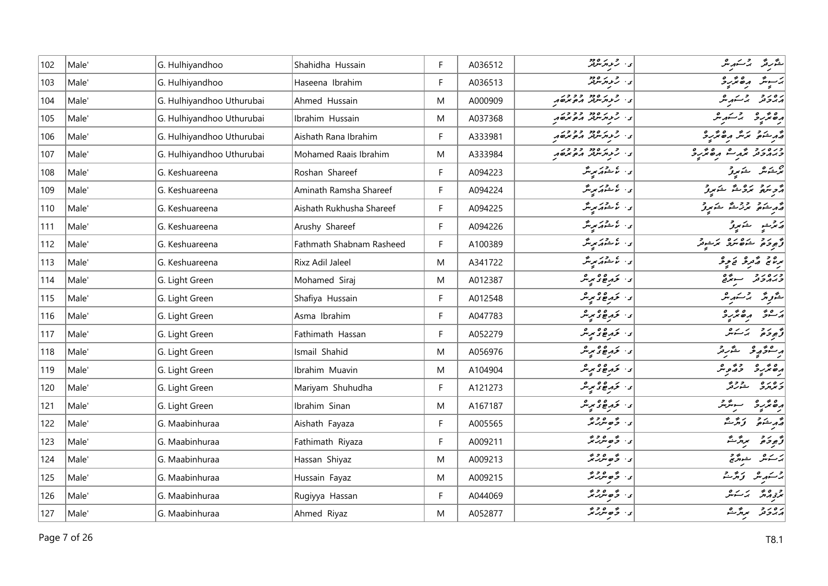| 102 | Male' | G. Hulhiyandhoo           | Shahidha Hussain         | F  | A036512 | ى - گەنگەنگەنگە                           | المشريق الرحشرين                         |
|-----|-------|---------------------------|--------------------------|----|---------|-------------------------------------------|------------------------------------------|
| 103 | Male' | G. Hulhiyandhoo           | Haseena Ibrahim          | F. | A036513 | ی - گروپولیو دو<br>ت                      | ىزىيەنتر بەھ ئۈرۈ                        |
| 104 | Male' | G. Hulhiyandhoo Uthurubai | Ahmed Hussain            | M  | A000909 | ی گرمز مرد دو در م                        | رەرد دىر                                 |
| 105 | Male' | G. Hulhiyandhoo Uthurubai | Ibrahim Hussain          | M  | A037368 | ی گرمز مرد دو در م                        | ەر ھەتىر جە<br>س                         |
| 106 | Male' | G. Hulhiyandhoo Uthurubai | Aishath Rana Ibrahim     | F  | A333981 | י התחייתות הפידור<br>ז' התחייתות הפידוסוף | ړ.<br>د دغني نمکر ده نمرو                |
| 107 | Male' | G. Hulhiyandhoo Uthurubai | Mohamed Raais Ibrahim    | M  | A333984 | י התחייתות הפידור<br>ז' התחייתות הפידוסוק | כנסגב שהם הסתגב                          |
| 108 | Male' | G. Keshuareena            | Roshan Shareef           | F  | A094223 | -<br>ئ- ئاشىق ئەسپەتىر                    | ېرىشكى ئىقلى <sub>رى</sub> ئ             |
| 109 | Male' | G. Keshuareena            | Aminath Ramsha Shareef   | F  | A094224 | ى ئاستىم ئىرىنگە                          | أأوللم لاوقا عكرو                        |
| 110 | Male' | G. Keshuareena            | Aishath Rukhusha Shareef | F  | A094225 | ى ئاھىدىم بىرىتى<br>ئ                     | و<br>در شوه برزشهٔ شهر                   |
| 111 | Male' | G. Keshuareena            | Arushy Shareef           | F  | A094226 | <br>  <sub>ى</sub> ، ئاشۇرىم يېرىنگر      | ر<br>مەيرىسى ئىكەنبوقى                   |
| 112 | Male' | G. Keshuareena            | Fathmath Shabnam Rasheed | F. | A100389 | <br>  <sub>ى</sub> ، ئاشۇرىم يېرىنگر      | و د د ده ده کرخونه                       |
| 113 | Male' | G. Keshuareena            | Rixz Adil Jaleel         | M  | A341722 | ى ئاستىم ئىرىتر                           | براءج أزورته في ولح                      |
| 114 | Male' | G. Light Green            | Mohamed Siraj            | M  | A012387 | ى ئۇرغۇ ئېچىرىش                           | ورەرو سەرق                               |
| 115 | Male' | G. Light Green            | Shafiya Hussain          | F  | A012548 | ى ئۇم ھۇمچىرىگە                           | شۇرىگە برگىتىرىگر                        |
| 116 | Male' | G. Light Green            | Asma Ibrahim             | F  | A047783 | ى خەرج دېمبرىتر                           |                                          |
| 117 | Male' | G. Light Green            | Fathimath Hassan         | F. | A052279 | ى ئەرەۋىرىر                               | و محمد بر سکاهر                          |
| 118 | Male' | G. Light Green            | Ismail Shahid            | M  | A056976 | ى ئۇرغۇ ئېچىرىش                           | رەم ئەرەپە ئەرەر<br>رايەت ئەرەر          |
| 119 | Male' | G. Light Green            | Ibrahim Muavin           | M  | A104904 | ى ئۇرغۇ ئېچىرىش                           | ېر چې پر ده<br>بر څنگړنه<br>تر پژوىتر    |
| 120 | Male' | G. Light Green            | Mariyam Shuhudha         | F  | A121273 | ى ئەرەۋىرىر                               | ر ه ر ه<br><del>و</del> بربرو<br>ىشۇر تۇ |
| 121 | Male' | G. Light Green            | Ibrahim Sinan            | M  | A167187 | ى ئۇرغۇ ئېيىتر                            | ەرھەترىر <sup>ە</sup><br>سەمئرىتر        |
| 122 | Male' | G. Maabinhuraa            | Aishath Fayaza           | F  | A005565 | ى ئۇھ بىرىرىم                             | و گرمشگر <sup>2</sup><br>ىز ئەشە         |
| 123 | Male' | G. Maabinhuraa            | Fathimath Riyaza         | F  | A009211 | ى ئەھەرىرىگە                              | وحجوحهم<br>ىروترىشە                      |
| 124 | Male' | G. Maabinhuraa            | Hassan Shiyaz            | M  | A009213 | ى ئەھەررىگە                               | ىز سەش ھەر <i>گە</i> تە                  |
| 125 | Male' | G. Maabinhuraa            | Hussain Fayaz            | M  | A009215 | ى ئەھ ئىرىرىم                             | برسكهر بويدية                            |
| 126 | Male' | G. Maabinhuraa            | Rugiyya Hassan           | F. | A044069 | ى ئەھ بىرىرىم                             | ترتومان كالكامل                          |
| 127 | Male' | G. Maabinhuraa            | Ahmed Riyaz              | M  | A052877 | ى بە ئەھەس ئەتر                           | رەرد پەرت                                |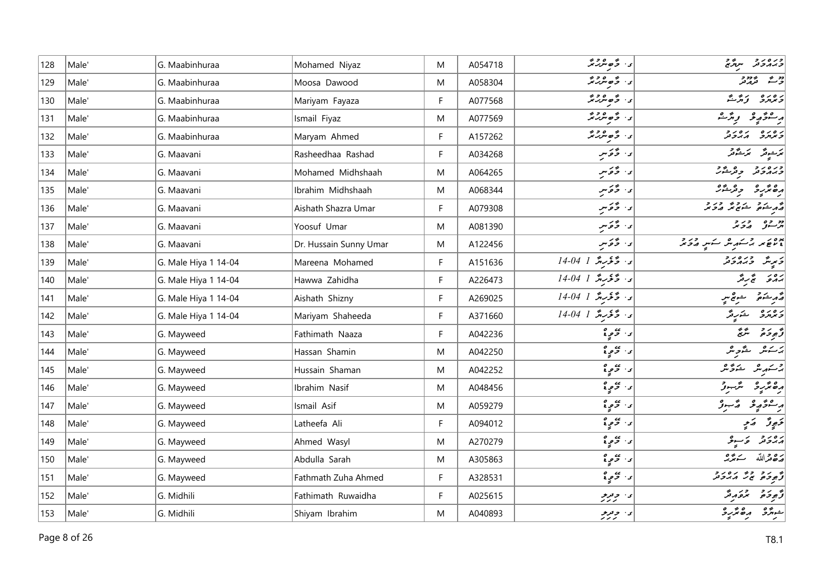| 128 | Male' | G. Maabinhuraa       | Mohamed Niyaz          | M           | A054718 | ء پە ئەھرىرىگە                                                       | בגם בב ייטביב                                                                                                                                                                                                                                                                                                                                       |
|-----|-------|----------------------|------------------------|-------------|---------|----------------------------------------------------------------------|-----------------------------------------------------------------------------------------------------------------------------------------------------------------------------------------------------------------------------------------------------------------------------------------------------------------------------------------------------|
| 129 | Male' | G. Maabinhuraa       | Moosa Dawood           | M           | A058304 | ى ئەھ بىرىرىمە                                                       | ووقت فرود و                                                                                                                                                                                                                                                                                                                                         |
| 130 | Male' | G. Maabinhuraa       | Mariyam Fayaza         | F           | A077568 | ى ئەھبىر بىر                                                         | رەرە زېرگ                                                                                                                                                                                                                                                                                                                                           |
| 131 | Male' | G. Maabinhuraa       | Ismail Fiyaz           | M           | A077569 | ى ئەھلىرىدىگە                                                        | وسفوتموفر وترش                                                                                                                                                                                                                                                                                                                                      |
| 132 | Male' | G. Maabinhuraa       | Maryam Ahmed           | $\mathsf F$ | A157262 | ى ئۇھ بىرىرىم                                                        | נסנס נסנד                                                                                                                                                                                                                                                                                                                                           |
| 133 | Male' | G. Maavani           | Rasheedhaa Rashad      | F.          | A034268 | ء پیچموں                                                             | مكركونكل مكركونكر                                                                                                                                                                                                                                                                                                                                   |
| 134 | Male' | G. Maavani           | Mohamed Midhshaah      | M           | A064265 | ء بمحق مبر                                                           | ورەرو وفرش                                                                                                                                                                                                                                                                                                                                          |
| 135 | Male' | G. Maavani           | Ibrahim Midhshaah      | M           | A068344 | <br> د· د څوکيو                                                      | رەترىرو دورگ                                                                                                                                                                                                                                                                                                                                        |
| 136 | Male' | G. Maavani           | Aishath Shazra Umar    | F           | A079308 | [ر. ۇۇسر                                                             |                                                                                                                                                                                                                                                                                                                                                     |
| 137 | Male' | G. Maavani           | Yoosuf Umar            | M           | A081390 | ، ئەقەس <sub>ى</sub>                                                 | מ כני הגב<br>תו-ת הבית                                                                                                                                                                                                                                                                                                                              |
| 138 | Male' | G. Maavani           | Dr. Hussain Sunny Umar | M           | A122456 | [. ئۇغ <sub>ەس</sub>                                                 | برەي ب <sub>ە</sub> ر سەر بىر سەپىر بەر بر                                                                                                                                                                                                                                                                                                          |
| 139 | Male' | G. Male Hiya 1 14-04 | Mareena Mohamed        | $\mathsf F$ | A151636 | $14-04$ $1\frac{2}{5}$ ء · ح                                         | وَ پر په دره دو                                                                                                                                                                                                                                                                                                                                     |
| 140 | Male' | G. Male Hiya 1 14-04 | Hawwa Zahidha          | $\mathsf F$ | A226473 | $14-04$ $1$ $5\frac{2}{3}$ $\cdot$ $s$                               | بروء يحرقه                                                                                                                                                                                                                                                                                                                                          |
| 141 | Male' | G. Male Hiya 1 14-04 | Aishath Shizny         | $\mathsf F$ | A269025 | $14-04$ $1\frac{2}{5}$ - د څخه د ته $\frac{2}{5}$                    | وكرمشكم الشوره س                                                                                                                                                                                                                                                                                                                                    |
| 142 | Male' | G. Male Hiya 1 14-04 | Mariyam Shaheeda       | F           | A371660 | $14-04$ $1\frac{2}{5}$ $\frac{2}{5}$ $\cdot$ $s$                     | رەرە شەرى <i>گ</i> ە                                                                                                                                                                                                                                                                                                                                |
| 143 | Male' | G. Mayweed           | Fathimath Naaza        | F           | A042236 | لى بى ھونا<br>ك                                                      | توجوحو شج                                                                                                                                                                                                                                                                                                                                           |
| 144 | Male' | G. Mayweed           | Hassan Shamin          | M           | A042250 | ر به عو <b>ده</b><br>د گروه                                          | ىر كەش سەھ بىر                                                                                                                                                                                                                                                                                                                                      |
| 145 | Male' | G. Mayweed           | Hussain Shaman         | M           | A042252 | لى بى ھ<br>ك                                                         | ج ڪهر شرح شري                                                                                                                                                                                                                                                                                                                                       |
| 146 | Male' | G. Mayweed           | Ibrahim Nasif          | M           | A048456 | $\sqrt{2}$<br>$2\sqrt{2}$                                            | ەھ ئەرە ئەسىرى<br>مەھ ئەرە                                                                                                                                                                                                                                                                                                                          |
| 147 | Male' | G. Mayweed           | Ismail Asif            | M           | A059279 | ر به عو <b>ده</b><br>د گرمونه                                        | برحوم ومسوق                                                                                                                                                                                                                                                                                                                                         |
| 148 | Male' | G. Mayweed           | Latheefa Ali           | F           | A094012 | ر به عو <b>ده</b><br>د گرمونه                                        | لمحبوق المالمج                                                                                                                                                                                                                                                                                                                                      |
| 149 | Male' | G. Mayweed           | Ahmed Wasyl            | M           | A270279 | ر به عو <b>ده</b><br>د گرمونه                                        | $\begin{array}{cc} \mathcal{L}_{\mathcal{L}} & \mathcal{L}_{\mathcal{L}} & \mathcal{L}_{\mathcal{L}} \\ \mathcal{L}_{\mathcal{L}} & \mathcal{L}_{\mathcal{L}} & \mathcal{L}_{\mathcal{L}} & \mathcal{L}_{\mathcal{L}} \\ \mathcal{L}_{\mathcal{L}} & \mathcal{L}_{\mathcal{L}} & \mathcal{L}_{\mathcal{L}} & \mathcal{L}_{\mathcal{L}} \end{array}$ |
| 150 | Male' | G. Mayweed           | Abdulla Sarah          | M           | A305863 | $\begin{bmatrix} 0 & 2c & 0 \\ 2 & 0 & 0 \\ 0 & 0 & 0 \end{bmatrix}$ | سە ئىرچە<br>برە تراللە                                                                                                                                                                                                                                                                                                                              |
| 151 | Male' | G. Mayweed           | Fathmath Zuha Ahmed    | $\mathsf F$ | A328531 | ر به عده ه<br>د سر څو چ                                              | و د د ده ده دو                                                                                                                                                                                                                                                                                                                                      |
| 152 | Male' | G. Midhili           | Fathimath Ruwaidha     | F           | A025615 | ی او توپو<br>ارز                                                     | وتموخو ممورش                                                                                                                                                                                                                                                                                                                                        |
| 153 | Male' | G. Midhili           | Shiyam Ibrahim         | M           | A040893 | ی او توپو<br>ار ر                                                    | شوره ده تر د                                                                                                                                                                                                                                                                                                                                        |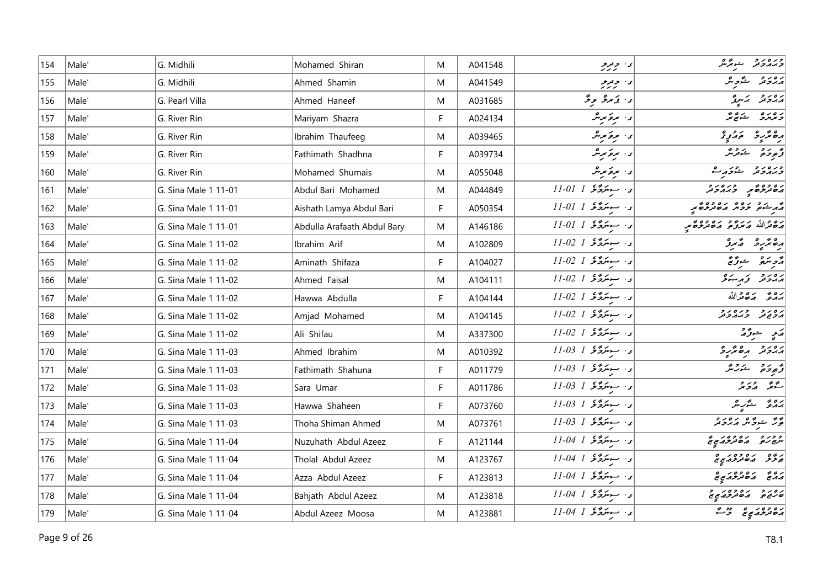| 154 | Male' | G. Midhili           | Mohamed Shiran              | M           | A041548 | ی او توپو<br>ارز                                        | ورەرو ھۆش                                                                    |
|-----|-------|----------------------|-----------------------------|-------------|---------|---------------------------------------------------------|------------------------------------------------------------------------------|
| 155 | Male' | G. Midhili           | Ahmed Shamin                | M           | A041549 | ی ا و توپو<br>ارداد                                     | رەرد شەرش                                                                    |
| 156 | Male' | G. Pearl Villa       | Ahmed Haneef                | M           | A031685 | ء <sub>َ</sub> بۇيرى م <sub>و</sub> مۇ                  | دەر ج برس                                                                    |
| 157 | Male' | G. River Rin         | Mariyam Shazra              | $\mathsf F$ | A024134 | ا <sup>ی ا</sup> مرغ مریش                               | رەرە شەرەپ                                                                   |
| 158 | Male' | G. River Rin         | Ibrahim Thaufeeg            | M           | A039465 | <sub>ى: موع</sub> ى مريشر                               | وە ئەر ئەدەپ                                                                 |
| 159 | Male' | G. River Rin         | Fathimath Shadhna           | F           | A039734 | ى سرەكىرىگە                                             | ه د د ده.<br>ترج د هم شوترس                                                  |
| 160 | Male' | G. River Rin         | Mohamed Shumais             | M           | A055048 | ى سىرەكىرىش                                             | ورەرو شۇرەر                                                                  |
| 161 | Male' | G. Sina Male 1 11-01 | Abdul Bari Mohamed          | M           | A044849 | $11-01$ كَ مِسْرَةَ دَبَّ $-1$                          | נסכפית כנסנכ<br>גםנקלפית כגתכנק                                              |
| 162 | Male' | G. Sina Male 1 11-01 | Aishath Lamya Abdul Bari    | F           | A050354 | $11-01$ او سوپېژو کې $11-01$                            | و مشهور ده ده ده در در مورد د                                                |
| 163 | Male' | G. Sina Male 1 11-01 | Abdulla Arafaath Abdul Bary | M           | A146186 | $11-01$ او سوپېرۍ تو $ $                                | رەداللە مەردە مەدەھىر                                                        |
| 164 | Male' | G. Sina Male 1 11-02 | Ibrahim Arif                | M           | A102809 | $11-02$ $13-7$ موسَّرَة $\sim$ 1                        | وە ئۆر ئەير                                                                  |
| 165 | Male' | G. Sina Male 1 11-02 | Aminath Shifaza             | F           | A104027 | $11-02$ $13-7$ موسَرَدَّ دَبَ                           | أزويتهم خرزة                                                                 |
| 166 | Male' | G. Sina Male 1 11-02 | Ahmed Faisal                | M           | A104111 | $11-02$ $13-7$ مِسْرَةٌ كَلَّ                           | برورو تهريدو                                                                 |
| 167 | Male' | G. Sina Male 1 11-02 | Hawwa Abdulla               | F           | A104144 | $11-02$ $13-7$ موسَرَدَّ دَرَ                           | بره بره دالله                                                                |
| 168 | Male' | G. Sina Male 1 11-02 | Amjad Mohamed               | M           | A104145 | $11 - 02$ $13 - 22$                                     | ג סג כ כגור<br>גרשע כגגבע                                                    |
| 169 | Male' | G. Sina Male 1 11-02 | Ali Shifau                  | M           | A337300 | $11-02$ $13-2$ د سومتردگر $13-12$                       | أەكىم سىردە                                                                  |
| 170 | Male' | G. Sina Male 1 11-03 | Ahmed Ibrahim               | M           | A010392 | $11-03$ $13-2$ - المستردَّءَ                            | رەرو مەھرىر                                                                  |
| 171 | Male' | G. Sina Male 1 11-03 | Fathimath Shahuna           | $\mathsf F$ | A011779 | $11-03$ $13-2$ - المستردَّة $\frac{2}{3}$               | أرتموخا والمتكريش                                                            |
| 172 | Male' | G. Sina Male 1 11-03 | Sara Umar                   | $\mathsf F$ | A011786 | $11-03$ $13-7$ موسَرَدَّ دَ                             | الشريق الروائي                                                               |
| 173 | Male' | G. Sina Male 1 11-03 | Hawwa Shaheen               | F           | A073760 | $\frac{1}{11-03}$ كَ مَسْتَغْرَّعْتُ لَمْ $\frac{2}{3}$ | أبروء شياس                                                                   |
| 174 | Male' | G. Sina Male 1 11-03 | Thoha Shiman Ahmed          | M           | A073761 | $11-03$ $13-2$                                          | وي <sub>شو</sub> و ته ده د و د                                               |
| 175 | Male' | G. Sina Male 1 11-04 | Nuzuhath Abdul Azeez        | F           | A121144 | $11 - 04$ $13.2 - 11$                                   | ככי כ- ייספס <i>בי</i><br>ייט <i>ב ייס</i> השניק <i>יב</i> ה <sub>בו</sub> ב |
| 176 | Male' | G. Sina Male 1 11-04 | Tholal Abdul Azeez          | M           | A123767 | $11-04$ $133-1$ مِسْرَدَّة                              | קצב קסיפרקים                                                                 |
| 177 | Male' | G. Sina Male 1 11-04 | Azza Abdul Azeez            | F           | A123813 | $11-04$ $133-1$ مِسَرَدَّ دَ $1$                        | גם ביסיפריקים                                                                |
| 178 | Male' | G. Sina Male 1 11-04 | Bahjath Abdul Azeez         | M           | A123818 | $11-04$ $132-1$                                         | ره رحمد ده وه در ح<br>حري من من من المركز من ح                               |
| 179 | Male' | G. Sina Male 1 11-04 | Abdul Azeez Moosa           | M           | A123881 | $11-04$ $132-1$                                         | גם כסגם בריה<br>הסטיבה <sub>ב</sub> שה                                       |
|     |       |                      |                             |             |         |                                                         |                                                                              |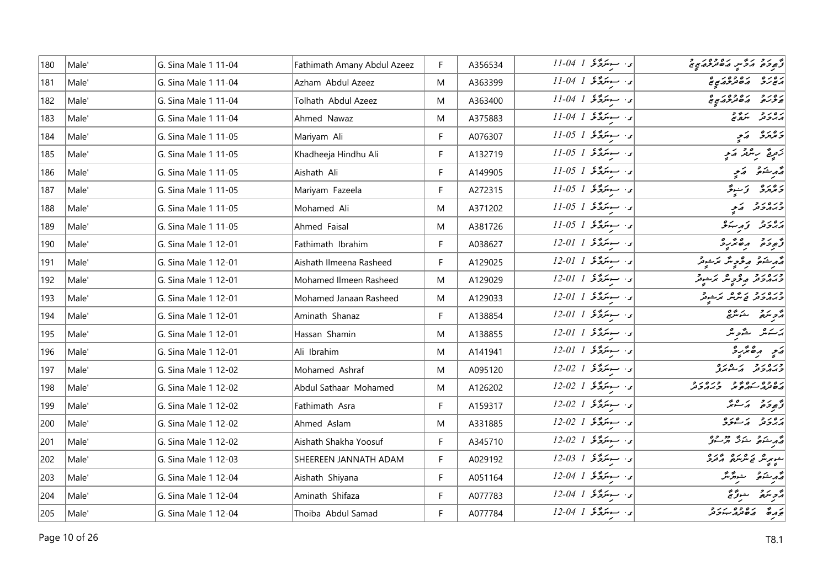| 180 | Male' | G. Sina Male 1 11-04 | Fathimath Amany Abdul Azeez | F. | A356534 | $11 - 04$ $13.2 - 1$                         | و دو مۇس مەدەم ج                          |
|-----|-------|----------------------|-----------------------------|----|---------|----------------------------------------------|-------------------------------------------|
| 181 | Male' | G. Sina Male 1 11-04 | Azham Abdul Azeez           | M  | A363399 | $11-04$ $1330 - 1$                           | ג 2000 ג 2000 פי 2000 E                   |
| 182 | Male' | G. Sina Male 1 11-04 | Tolhath Abdul Azeez         | M  | A363400 | $11-04$ $1330 - 1$                           | ره ر د پره ده در ه<br>جويرمو ماه مرکزم مي |
| 183 | Male' | G. Sina Male 1 11-04 | Ahmed Nawaz                 | M  | A375883 | $11$ -04 $133 - 1$ اء .                      | ره رو بروو                                |
| 184 | Male' | G. Sina Male 1 11-05 | Mariyam Ali                 | F  | A076307 | $11 - 05$ $1$ $55 - 1$                       | د ۱٫۵ د په په                             |
| 185 | Male' | G. Sina Male 1 11-05 | Khadheeja Hindhu Ali        | F  | A132719 | $11-05$ $13-2$                               | زَمْرِيعٌ رِسْرُتْرَ مَ مَرِ              |
| 186 | Male' | G. Sina Male 1 11-05 | Aishath Ali                 | F  | A149905 | $11-05$ $13-7$ مَسِتَرَدَّعَ $-1$            | أومر شنعتى أورمح                          |
| 187 | Male' | G. Sina Male 1 11-05 | Mariyam Fazeela             | F  | A272315 | $11-05$ $13-7$ مَسِتَرَدَّعَ $-1$            | ویروژ تی نیوژ                             |
| 188 | Male' | G. Sina Male 1 11-05 | Mohamed Ali                 | M  | A371202 |                                              | ورەرو كەير                                |
| 189 | Male' | G. Sina Male 1 11-05 | Ahmed Faisal                | M  | A381726 | $11-05$ $13-2$ موسَر                         | برەرد تەب كە                              |
| 190 | Male' | G. Sina Male 1 12-01 | Fathimath Ibrahim           | F  | A038627 | $12-01$ كَ مِسْرَةَ قَدْ $1/1$               | أزوده مقترد                               |
| 191 | Male' | G. Sina Male 1 12-01 | Aishath Ilmeena Rasheed     | F  | A129025 | $12-01$ كَ سِيتَمَعَّدُ $1 \sim 1$           | أمر مشكرة المرفوج مكر مكر مسوفر           |
| 192 | Male' | G. Sina Male 1 12-01 | Mohamed Ilmeen Rasheed      | M  | A129029 | $12-01$ كَ مِسْرَةَ قَدْ $1/1$               | ورەرو رووپىر برَجو                        |
| 193 | Male' | G. Sina Male 1 12-01 | Mohamed Janaan Rasheed      | M  | A129033 | $12-01$ كَ مِسْرَحَمَدُ $1$                  | ورەرو رشرش پرَجوتر                        |
| 194 | Male' | G. Sina Male 1 12-01 | Aminath Shanaz              | F. | A138854 | $12-01$ كَ مِسْرَةَ قَدْ $1/1$               | أترجر متمريح ويمنع                        |
| 195 | Male' | G. Sina Male 1 12-01 | Hassan Shamin               | M  | A138855 | $12-01$ $132-1$                              | برسەمىر سۇرىتر                            |
| 196 | Male' | G. Sina Male 1 12-01 | Ali Ibrahim                 | M  | A141941 | $12-01$ كَ سِيتَمَعَّرُ $1/1$                | أتمو مقترع                                |
| 197 | Male' | G. Sina Male 1 12-02 | Mohamed Ashraf              | M  | A095120 | $12-02$ $1330 - 1$                           | وره رو بره ده<br>وبردونر برشوبرو          |
| 198 | Male' | G. Sina Male 1 12-02 | Abdul Sathaar Mohamed       | M  | A126202 | $12-02$ $13-2$ جسترده کر                     | נס כם נסמיכ - כנסניכ<br>השנקה - המיביק    |
| 199 | Male' | G. Sina Male 1 12-02 | Fathimath Asra              | F  | A159317 | $12-02$ $133$                                | أزّودَه رَسْعَدُ                          |
| 200 | Male' | G. Sina Male 1 12-02 | Ahmed Aslam                 | M  | A331885 | $\overline{12\text{-}02}$ المستشركة في 12-02 | رەرو پەرەرە                               |
| 201 | Male' | G. Sina Male 1 12-02 | Aishath Shakha Yoosuf       | F  | A345710 | $12-02$ $133$                                | وگهرڪو ڪري <del>دو و</del> ه              |
| 202 | Male' | G. Sina Male 1 12-03 | SHEEREEN JANNATH ADAM       | F  | A029192 | $12-03$ $13-2$ جوسَعَةَ $\frac{2}{3}$        | أخويريثر في شريره المجردة                 |
| 203 | Male' | G. Sina Male 1 12-04 | Aishath Shiyana             | F  | A051164 | $12-04$ $1$ $55 - -$                         | أقرم شكوة الشورش المحمد                   |
| 204 | Male' | G. Sina Male 1 12-04 | Aminath Shifaza             | F  | A077783 | $12-04$ $13-2$ موسَر                         | أرمح سكرة المسورقة                        |
| 205 | Male' | G. Sina Male 1 12-04 | Thoiba Abdul Samad          | F  | A077784 | $12-04$ $133 - 1$                            | פתם בסמר נגד                              |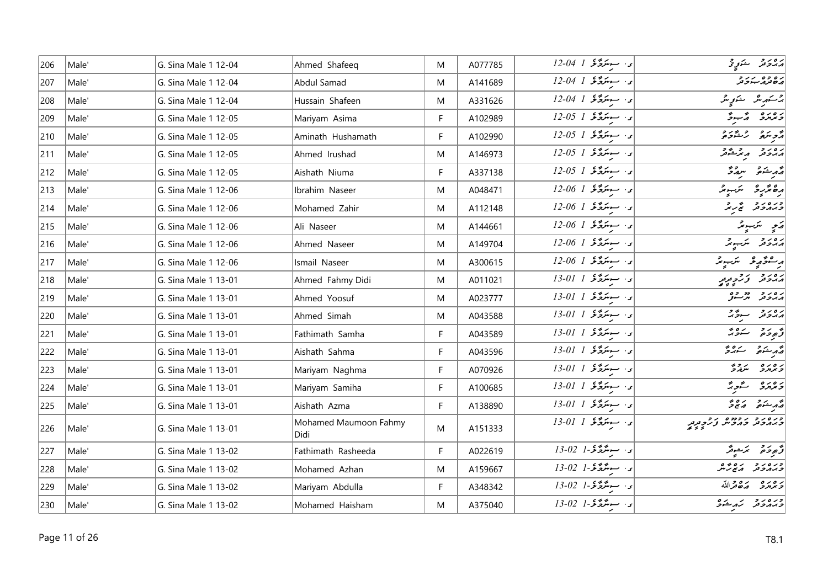| 206 | Male' | G. Sina Male 1 12-04 | Ahmed Shafeeq                 | M | A077785 | $12-04$ او سوپىر قىقى 1 12-04               | در در در سکور تح                       |
|-----|-------|----------------------|-------------------------------|---|---------|---------------------------------------------|----------------------------------------|
| 207 | Male' | G. Sina Male 1 12-04 | <b>Abdul Samad</b>            | M | A141689 | $12-04$ $133 - 1$                           | ره وه برر و<br>های فرو جو تر           |
| 208 | Male' | G. Sina Male 1 12-04 | Hussain Shafeen               | M | A331626 | $12-04$ $1$ $55 - -1$                       | جر سک <i>م پر شکو پی</i> ر             |
| 209 | Male' | G. Sina Male 1 12-05 | Mariyam Asima                 | F | A102989 | $12-05$ $1$ $55 - -1$                       | د بر ده په پرځ                         |
| 210 | Male' | G. Sina Male 1 12-05 | Aminath Hushamath             | F | A102990 | $12-05$ $1\frac{2}{3}$ ي. سوسَرَدَّ عَ      | أأروسهم المرشوح                        |
| 211 | Male' | G. Sina Male 1 12-05 | Ahmed Irushad                 | M | A146973 | $12-05$ $13-2$ د سومتردگر $12-05$           | أرور وترشور                            |
| 212 | Male' | G. Sina Male 1 12-05 | Aishath Niuma                 | F | A337138 | $12-05$ $1\,$ لِسَمَعَ حَمَد $\,$           | أشركت متصفح                            |
| 213 | Male' | G. Sina Male 1 12-06 | Ibrahim Naseer                | M | A048471 | $12\n-06$ $1$ د سومترده کر                  | رە ئۇرۇ سىبدىگە                        |
| 214 | Male' | G. Sina Male 1 12-06 | Mohamed Zahir                 | M | A112148 | $12{\text -}06$ السويترنجى كى 12-06 $\cdot$ | ورەرو پرىر                             |
| 215 | Male' | G. Sina Male 1 12-06 | Ali Naseer                    | M | A144661 | $12-06$ $13-22$ موسَرَدَّ دَ                | أركموا الكرسوس                         |
| 216 | Male' | G. Sina Male 1 12-06 | Ahmed Naseer                  | M | A149704 | $12{\text -}06$ كَ مِسْرَمَّةً $1$          | أرەرو سكىبولا                          |
| 217 | Male' | G. Sina Male 1 12-06 | Ismail Naseer                 | M | A300615 | $12\n-06$ $135 - 1$                         | أرسادة ويحر الترسوير                   |
| 218 | Male' | G. Sina Male 1 13-01 | Ahmed Fahmy Didi              | M | A011021 | $13-01$ $13-7$ مستردَّ دَ                   | ر و ر و تر تر در در در ا               |
| 219 | Male' | G. Sina Male 1 13-01 | Ahmed Yoosuf                  | M | A023777 | $13-01$ او سوسَرَدَّ کر $ 13-01 $           | ره رو دو وه<br> پرېرو پر سر            |
| 220 | Male' | G. Sina Male 1 13-01 | Ahmed Simah                   | M | A043588 | $13-01$ $13-7$ - المستردَّءَ                | أرورو سودر                             |
| 221 | Male' | G. Sina Male 1 13-01 | Fathimath Samha               | F | A043589 | $13-01$ $13-7$ موسَّرَة دَ $1$              | أوجوحه سنوبر                           |
| 222 | Male' | G. Sina Male 1 13-01 | Aishath Sahma                 | F | A043596 | $13-01$ $13-7$ موسَرَدَّ دَ                 | أقرم يشكموا المستردة                   |
| 223 | Male' | G. Sina Male 1 13-01 | Mariyam Naghma                | F | A070926 | $13-01$ او سوسَرَدَّ دَ 1                   | י פי מגיב<br><i>בינ</i> ו <i>נ</i> מגב |
| 224 | Male' | G. Sina Male 1 13-01 | Mariyam Samiha                | F | A100685 | $13-01$ كَ سِيتَرَجَّدُ $1 \sim 1$          | د بر پر د شورته                        |
| 225 | Male' | G. Sina Male 1 13-01 | Aishath Azma                  | F | A138890 | $13-01$ $13-7$ موسَعَة $\frac{2}{3}$        | أوهر مشتمر أمام والمحمدة               |
| 226 | Male' | G. Sina Male 1 13-01 | Mohamed Maumoon Fahmy<br>Didi | M | A151333 | $13-01$ $13-7$ موسَّرَة $\cdot$ 1           | כנסנד נכחם נכ<br>כמהכת כהכית ציבתת     |
| 227 | Male' | G. Sina Male 1 13-02 | Fathimath Rasheeda            | F | A022619 | $13-02$ او سوشگە 1-3                        | أزَّوِدَةُ بَرَشِيثَر                  |
| 228 | Male' | G. Sina Male 1 13-02 | Mohamed Azhan                 | M | A159667 | $13-02$ $1-55$ مِسْرَة دَبَر                | ورەرو رەپەر                            |
| 229 | Male' | G. Sina Male 1 13-02 | Mariyam Abdulla               | F | A348342 | $13-02$ $1-55$ موسَّرَدَّ دَبِي             | ترمره ره والله                         |
| 230 | Male' | G. Sina Male 1 13-02 | Mohamed Haisham               | M | A375040 | $13-02$ $1-53$                              | ورەرو ئېرىشكى                          |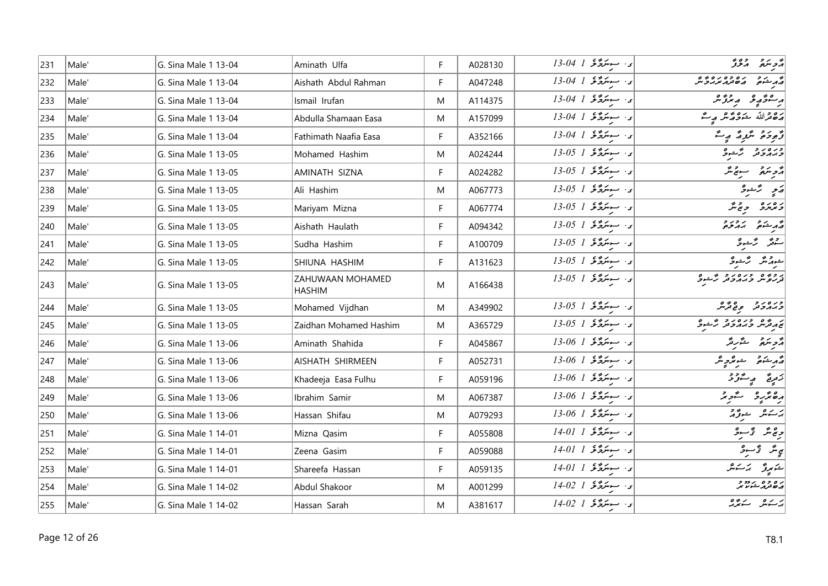| 231 | Male' | G. Sina Male 1 13-04 | Aminath Ulfa                      | F. | A028130 | $13-04$ $13-2$ ، سوسَرَدَّ دَ                                           | ړې شه ده د                                                                                                                                                                                                                       |
|-----|-------|----------------------|-----------------------------------|----|---------|-------------------------------------------------------------------------|----------------------------------------------------------------------------------------------------------------------------------------------------------------------------------------------------------------------------------|
| 232 | Male' | G. Sina Male 1 13-04 | Aishath Abdul Rahman              | F. | A047248 | $13-04$ $13-04$                                                         | ه در دره دره ده در محمد در محمد در محمد در محمد در محمد در محمد در محمد در محمد در محمد در محمد در محمد در محم<br>در محمد در محمد در محمد در محمد در محمد در محمد در محمد در محمد در محمد در محمد در محمد در محمد در محمد در محم |
| 233 | Male' | G. Sina Male 1 13-04 | Ismail Irufan                     | M  | A114375 | $13-04$ $1$ $55 - -1$                                                   | ر قۇمۇھ مەرگە                                                                                                                                                                                                                    |
| 234 | Male' | G. Sina Male 1 13-04 | Abdulla Shamaan Easa              | M  | A157099 | $13-04$ $13-04$ $\frac{25}{10}$ $\cdot$ $\cdot$                         | رەداللە خەدەم رېڭ                                                                                                                                                                                                                |
| 235 | Male' | G. Sina Male 1 13-04 | Fathimath Naafia Easa             | F. | A352166 | $13-04$ $13-22$                                                         | توجوحه شرقه ويث                                                                                                                                                                                                                  |
| 236 | Male' | G. Sina Male 1 13-05 | Mohamed Hashim                    | M  | A024244 | $13-05$ $13-25$ مسترده کر                                               | ورەرو گىدۇ                                                                                                                                                                                                                       |
| 237 | Male' | G. Sina Male 1 13-05 | AMINATH SIZNA                     | F  | A024282 | $13-05$ $13-05$ $\frac{25}{10}$ $\frac{1}{2}$                           | ۇ جەنبە ئەسىرىنى<br>مەسىر                                                                                                                                                                                                        |
| 238 | Male' | G. Sina Male 1 13-05 | Ali Hashim                        | M  | A067773 | $13-05$ $13-05$ $-15$                                                   | ړې رمخ شود کا                                                                                                                                                                                                                    |
| 239 | Male' | G. Sina Male 1 13-05 | Mariyam Mizna                     | F. | A067774 | $13-05$ $1\frac{2}{3}$ ى سوسَرَدَّ دَ                                   | رەرە دېڭر                                                                                                                                                                                                                        |
| 240 | Male' | G. Sina Male 1 13-05 | Aishath Haulath                   | F. | A094342 | $13-05$ $13-05$ $\frac{25}{10}$ $\frac{1}{2}$                           | وكروشكا والمتحرم                                                                                                                                                                                                                 |
| 241 | Male' | G. Sina Male 1 13-05 | Sudha Hashim                      | F. | A100709 | $13-05$ $1\,$ د سوسَرَدَ د $\frac{2}{3}$                                |                                                                                                                                                                                                                                  |
| 242 | Male' | G. Sina Male 1 13-05 | SHIUNA HASHIM                     | F  | A131623 | $13-05$ $13-05$ $\frac{25}{10}$ $\frac{1}{10}$                          | شورممگر گرشور                                                                                                                                                                                                                    |
| 243 | Male' | G. Sina Male 1 13-05 | ZAHUWAAN MOHAMED<br><b>HASHIM</b> | M  | A166438 |                                                                         | ر و ه ه د و د و و محت د و .<br>نر <i>رو</i> س و بر د و تر محت و                                                                                                                                                                  |
| 244 | Male' | G. Sina Male 1 13-05 | Mohamed Vijdhan                   | M  | A349902 | $13-05$ $13-05$ $-15$                                                   | ورەرو ەيھر                                                                                                                                                                                                                       |
| 245 | Male' | G. Sina Male 1 13-05 | Zaidhan Mohamed Hashim            | M  | A365729 |                                                                         | ىم ئۇس دىمەدىر گىسى                                                                                                                                                                                                              |
| 246 | Male' | G. Sina Male 1 13-06 | Aminath Shahida                   | F. | A045867 | $13-06$ $13-25$ موسَر                                                   | ومحر سكر المحارقة                                                                                                                                                                                                                |
| 247 | Male' | G. Sina Male 1 13-06 | AISHATH SHIRMEEN                  | F. | A052731 | $13-06$ $13-22$                                                         | و مشرح شور محمد الله عليه الله عليه الله من الله عليه الله عليه الله عليه الله عليه الله عليه الله عليه الله ا<br>الله عليه الله عليه الله عليه الله عليه الله عليه الله عليه الله عليه الله عليه الله عليه الله عليه الله عليه  |
| 248 | Male' | G. Sina Male 1 13-06 | Khadeeja Easa Fulhu               | F. | A059196 | $13-06$ $13-25$ موسَر                                                   | زىرىھ ھەستۇرى                                                                                                                                                                                                                    |
| 249 | Male' | G. Sina Male 1 13-06 | Ibrahim Samir                     | M  | A067387 | $13-06$ $13-25$ مَسِعَمَعُو                                             | رە ئەر ئەر ئە                                                                                                                                                                                                                    |
| 250 | Male' | G. Sina Male 1 13-06 | Hassan Shifau                     | M  | A079293 | $13-06$ $13-25$ مَسِعَمَعُو                                             | ىر كەش سورتىر                                                                                                                                                                                                                    |
| 251 | Male' | G. Sina Male 1 14-01 | Mizna Qasim                       | F. | A055808 | $14-01$ كَ مِسْرَةَ دَبَّ $1$                                           | حرىج تىگە سچ سىزمى                                                                                                                                                                                                               |
| 252 | Male' | G. Sina Male 1 14-01 | Zeena Gasim                       | F. | A059088 | $14-01$ كَ مِسْرَةٌ حَدَّمَ الْسَلَمَلُومَ مِسْتَدَمَّدًا $\frac{1}{2}$ | ىم ئىگە ئۇسىر ئ                                                                                                                                                                                                                  |
| 253 | Male' | G. Sina Male 1 14-01 | Shareefa Hassan                   | F  | A059135 | $14-01$ كَ مِسْرَةٌ كَلَّ $1$                                           | ڪيرڙ پرڪش                                                                                                                                                                                                                        |
| 254 | Male' | G. Sina Male 1 14-02 | Abdul Shakoor                     | M  | A001299 | $14-02$ $13-2$ جوسَعَة $\frac{2}{3}$ - ج                                | ره وه در دو و<br>پره تر پر شومړنمه                                                                                                                                                                                               |
| 255 | Male' | G. Sina Male 1 14-02 | Hassan Sarah                      | M  | A381617 | $14-02$ $13-2$ د سومترنگر $13-1$                                        | يركسكان التائيرين                                                                                                                                                                                                                |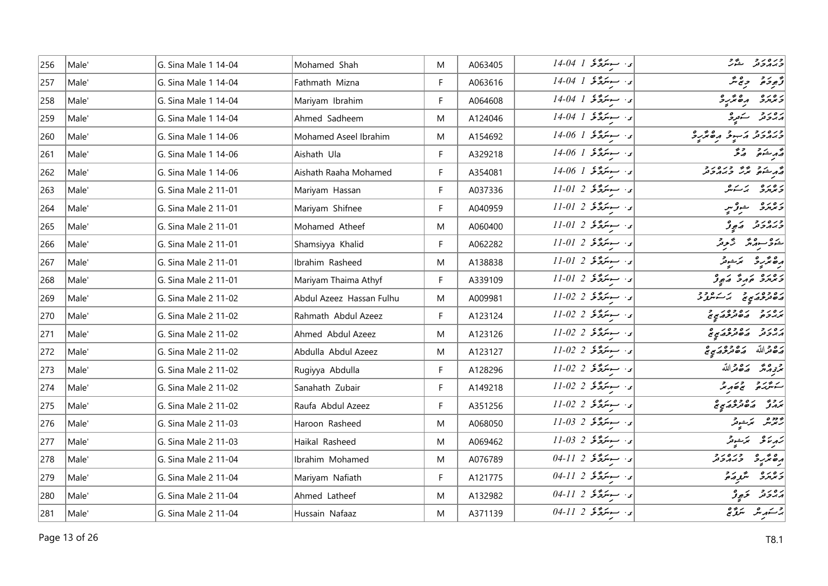| 256 | Male' | G. Sina Male 1 14-04 | Mohamed Shah             | M         | A063405 | $14-04$ $133-1$                             | ورەر دەر                             |
|-----|-------|----------------------|--------------------------|-----------|---------|---------------------------------------------|--------------------------------------|
| 257 | Male' | G. Sina Male 1 14-04 | Fathmath Mizna           | F         | A063616 | $14-04$ $133 - 1$                           | أرتموخي وبحيث                        |
| 258 | Male' | G. Sina Male 1 14-04 | Mariyam Ibrahim          | F         | A064608 | $14-04$ $13-22$ مرسَردً                     | ئەتەر <i>ە</i><br>ە ھەترىر ۋ         |
| 259 | Male' | G. Sina Male 1 14-04 | Ahmed Sadheem            | M         | A124046 | $14-04$ $133-1$                             | د ۱۵ د د سکوری                       |
| 260 | Male' | G. Sina Male 1 14-06 | Mohamed Aseel Ibrahim    | M         | A154692 | $14-06$ $1$ څخه کړ $\sim$                   | כנסקב ג <del>יק</del> ב תסתקב        |
| 261 | Male' | G. Sina Male 1 14-06 | Aishath Ula              | F         | A329218 | $14-06$ $13.5$ مَسِتَرَدَّعَ                | أمر مشمور المركز                     |
| 262 | Male' | G. Sina Male 1 14-06 | Aishath Raaha Mohamed    | F         | A354081 | $14-06$ $1$ څخه کړه $\sim$                  | وكروشكا المراكب وبراه والمحمد        |
| 263 | Male' | G. Sina Male 2 11-01 | Mariyam Hassan           | F         | A037336 | $11-01$ $23-2$ موسَرَدً                     | ويوره يركبو                          |
| 264 | Male' | G. Sina Male 2 11-01 | Mariyam Shifnee          | F         | A040959 | $11 - 01$ $23 - 2$                          | ویروژ جوړس                           |
| 265 | Male' | G. Sina Male 2 11-01 | Mohamed Atheef           | M         | A060400 | $11 - 01$ $2$ خوشرده د $\sim$               | دره د د پروژ                         |
| 266 | Male' | G. Sina Male 2 11-01 | Shamsiyya Khalid         | F         | A062282 | $11 - 01$ $23 - 11$ ، سومترنگ               | شەۋىسەر ئۇ ئىسىر ئىر                 |
| 267 | Male' | G. Sina Male 2 11-01 | Ibrahim Rasheed          | M         | A138838 | $11 - 01$ $2$ خوش سوشگر $\cdot$             | أرەنۇر ئىسىم                         |
| 268 | Male' | G. Sina Male 2 11-01 | Mariyam Thaima Athyf     | F         | A339109 | $11-01$ $23-7$ مِسْرَةً                     | ב מתכנים את כל התל                   |
| 269 | Male' | G. Sina Male 2 11-02 | Abdul Azeez Hassan Fulhu | M         | A009981 | $11-02$ $2\frac{2}{\sqrt{2}}$ - مسترده دارا | رە دەر بېر ئەسىرد                    |
| 270 | Male' | G. Sina Male 2 11-02 | Rahmath Abdul Azeez      | F         | A123124 | $11-02$ $23-7$ مَسِتَرَدَّدَ $\sim$         | ره د ده ده ده د چ                    |
| 271 | Male' | G. Sina Male 2 11-02 | Ahmed Abdul Azeez        | M         | A123126 | $11-02$ $2\,$ لِمَسْتَرَدَّةَ 2 $\,$        | גפקיק קסיקפקיקיק<br>ההכנק הסיקיקיקיק |
| 272 | Male' | G. Sina Male 2 11-02 | Abdulla Abdul Azeez      | M         | A123127 | $11-02$ $2\,$ د سوسَرَدَّ د $\cdot$         | رە داللە مەم <i>دەم ب</i> وم         |
| 273 | Male' | G. Sina Male 2 11-02 | Rugiyya Abdulla          | F         | A128296 | $11-02$ $2$ $55 - -1$                       | حرّة صرّة صرّة من اللّه              |
| 274 | Male' | G. Sina Male 2 11-02 | Sanahath Zubair          | F         | A149218 | $11$ -02 $2$ جو متردَّد د $\big $           | سكورد در در                          |
| 275 | Male' | G. Sina Male 2 11-02 | Raufa Abdul Azeez        | F         | A351256 | $11-02$ $23-2$                              | بروو دەۋەر ي                         |
| 276 | Male' | G. Sina Male 2 11-03 | Haroon Rasheed           | M         | A068050 | $11-03$ $2\,$ خوسترده د $\frac{2}{3}$       | مجرجين مرسور                         |
| 277 | Male' | G. Sina Male 2 11-03 | Haikal Rasheed           | M         | A069462 | $11 - 03$ $2$ د سویترنځو 2                  | تەرىئەق - ئىزىشوش                    |
| 278 | Male' | G. Sina Male 2 11-04 | Ibrahim Mohamed          | M         | A076789 | $04-11$ $2\,$ د سوسَرَدَّ د $\cdot$ - د ا   | دە ئەرە دىرەرد                       |
| 279 | Male' | G. Sina Male 2 11-04 | Mariyam Nafiath          | F         | A121775 | $04-11$ $2\,$ د سوسَرَدَ د $\cdot$ - د ا    | د وره شر د د                         |
| 280 | Male' | G. Sina Male 2 11-04 | Ahmed Latheef            | M         | A132982 | $04$ - $11$ $2$ څخه د $\sim$                | أرور ويحيى                           |
| 281 | Male' | G. Sina Male 2 11-04 | Hussain Nafaaz           | ${\sf M}$ | A371139 | $04 - 11$ $2$ د سومترنځو 2                  | 2سەر سىرتىمى                         |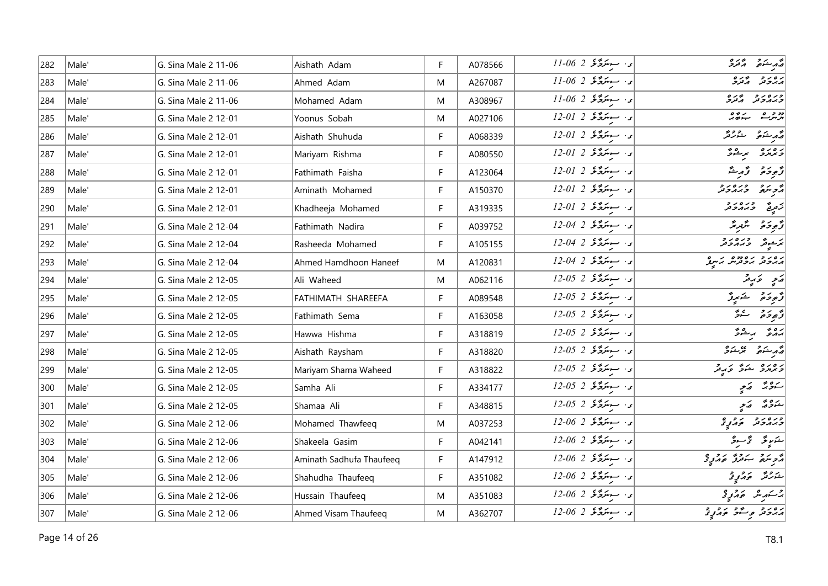| 282 | Male' | G. Sina Male 2 11-06 | Aishath Adam             | F  | A078566 | $11-06$ $23-2$ مَسْرَحَمَدَ $\sim$                                                                                                                                                                                                                                                                          | أحكم مشتمح المرفرجر                                                                                                                                                                                                                 |
|-----|-------|----------------------|--------------------------|----|---------|-------------------------------------------------------------------------------------------------------------------------------------------------------------------------------------------------------------------------------------------------------------------------------------------------------------|-------------------------------------------------------------------------------------------------------------------------------------------------------------------------------------------------------------------------------------|
| 283 | Male' | G. Sina Male 2 11-06 | Ahmed Adam               | M  | A267087 | $11 - 06$ 2 دسترگیز 2 11 - $\sigma$                                                                                                                                                                                                                                                                         | ر ه ر و ره د                                                                                                                                                                                                                        |
| 284 | Male' | G. Sina Male 2 11-06 | Mohamed Adam             | M  | A308967 | $11{\text -}06$ 2 د سوپېرۍ تر                                                                                                                                                                                                                                                                               | وره رو په ره<br><i>وبرو</i> ونړ م <i>ر</i> ترو                                                                                                                                                                                      |
| 285 | Male' | G. Sina Male 2 12-01 | Yoonus Sobah             | M  | A027106 | $12-01$ $2\,$ خوشرده د $\cdot$                                                                                                                                                                                                                                                                              | بە ئەر<br>در دیگر                                                                                                                                                                                                                   |
| 286 | Male' | G. Sina Male 2 12-01 | Aishath Shuhuda          | F  | A068339 | $12-01$ $2\,$ للمسترديح على $\,$                                                                                                                                                                                                                                                                            | شەرقر<br>ۇ مەشتەمى<br>مەم                                                                                                                                                                                                           |
| 287 | Male' | G. Sina Male 2 12-01 | Mariyam Rishma           | F  | A080550 | $12-01$ $2$ $55 - 1$                                                                                                                                                                                                                                                                                        | رەرە برشۇ                                                                                                                                                                                                                           |
| 288 | Male' | G. Sina Male 2 12-01 | Fathimath Faisha         | F  | A123064 | $12-01$ $23.2$ مَسْتَرَدَّدُ $\sim$                                                                                                                                                                                                                                                                         | أزُّمُودَةُ أَرْمِيَّةُ                                                                                                                                                                                                             |
| 289 | Male' | G. Sina Male 2 12-01 | Aminath Mohamed          | F  | A150370 | $12-01$ $2\,$ خَرْمَتْرَ حَمْدَ $\,$                                                                                                                                                                                                                                                                        | أمرضم وره دو                                                                                                                                                                                                                        |
| 290 | Male' | G. Sina Male 2 12-01 | Khadheeja Mohamed        | F  | A319335 | $12-01$ 2 د سوپىر تەڭرىس بولسان 12-01 د                                                                                                                                                                                                                                                                     | زَمرِيحَ 3ْبَرْدْدْرْ                                                                                                                                                                                                               |
| 291 | Male' | G. Sina Male 2 12-04 | Fathimath Nadira         | F  | A039752 | $12-04$ $2\,$ خوسترده کر $\bigg $                                                                                                                                                                                                                                                                           | أؤوخرة التمرير                                                                                                                                                                                                                      |
| 292 | Male' | G. Sina Male 2 12-04 | Rasheeda Mohamed         | F. | A105155 | $12-04$ $2\,$ د سوسَرَدَ د 12-04                                                                                                                                                                                                                                                                            | پرشید تر ور ور و<br>  پرشیدگر از جر پر جر تر                                                                                                                                                                                        |
| 293 | Male' | G. Sina Male 2 12-04 | Ahmed Hamdhoon Haneef    | M  | A120831 | $12-04$ $2\,$ خوش مسترده کر $\cdot$ - $\cdot$                                                                                                                                                                                                                                                               | رور و بروده برسره                                                                                                                                                                                                                   |
| 294 | Male' | G. Sina Male 2 12-05 | Ali Waheed               | M  | A062116 | $12-05$ $2\,$ خوشرده د $\sim$                                                                                                                                                                                                                                                                               | أتكتح أتكبر فتر                                                                                                                                                                                                                     |
| 295 | Male' | G. Sina Male 2 12-05 | FATHIMATH SHAREEFA       | F  | A089548 | $12-05$ $2\,$ للمستردسيسترد مسترد به المسترد به المسترد به المسترد به المسترد به المسترد به المسترد به المسترد به المسترد به المسترد به المسترد به المسترد به المسترد به المسترد به المسترد به المسترد به المسترد به المسترد                                                                                | ر من المسلم المسلم المسلم المسلم المسلم المسلم المسلم المسلم المسلم المسلم المسلم المسلم المسلم المس<br>المسلم المسلم المسلم المسلم المسلم المسلم المسلم المسلم المسلم المسلم المسلم المسلم المسلم المسلم المسلم المسل<br>المسلم ال |
| 296 | Male' | G. Sina Male 2 12-05 | Fathimath Sema           | F  | A163058 | $12-05$ $2$ $55-12$                                                                                                                                                                                                                                                                                         | توجوجو سكوم                                                                                                                                                                                                                         |
| 297 | Male' | G. Sina Male 2 12-05 | Hawwa Hishma             | F  | A318819 | $12-05$ $2\,$ للمستردسيسترد مسترد بين المسترد بين المسترد بين المسترد بين المسترد بين المسترد بين ا                                                                                                                                                                                                         | رەپە بەشۇ                                                                                                                                                                                                                           |
| 298 | Male' | G. Sina Male 2 12-05 | Aishath Raysham          | F  | A318820 | $12-05$ $2\,$ د سویندگر 2 $\,$                                                                                                                                                                                                                                                                              | وأراستكمو المحرشوق                                                                                                                                                                                                                  |
| 299 | Male' | G. Sina Male 2 12-05 | Mariyam Shama Waheed     | F. | A318822 | $12-05$ $2\,$ خوشرده د $\cdot$ ه - د ا                                                                                                                                                                                                                                                                      | رەرە خەت كەيتر                                                                                                                                                                                                                      |
| 300 | Male' | G. Sina Male 2 12-05 | Samha Ali                | F  | A334177 |                                                                                                                                                                                                                                                                                                             | لتؤثر أيمج                                                                                                                                                                                                                          |
| 301 | Male' | G. Sina Male 2 12-05 | Shamaa Ali               | F  | A348815 | $12-05$ $2$ $55-12$                                                                                                                                                                                                                                                                                         | أخكره محمح                                                                                                                                                                                                                          |
| 302 | Male' | G. Sina Male 2 12-06 | Mohamed Thawfeeq         | M  | A037253 | $12\n-06$ $2$ للمسترديح كم                                                                                                                                                                                                                                                                                  | ورەرو رورو                                                                                                                                                                                                                          |
| 303 | Male' | G. Sina Male 2 12-06 | Shakeela Gasim           | F  | A042141 | $12-06$ $2\,$ $3\,$ $\frac{2}{3}$ $\frac{2}{3}$ $\frac{2}{3}$ $\frac{2}{3}$ $\frac{2}{3}$ $\frac{2}{3}$ $\frac{2}{3}$ $\frac{2}{3}$ $\frac{2}{3}$ $\frac{2}{3}$ $\frac{2}{3}$ $\frac{2}{3}$ $\frac{2}{3}$ $\frac{2}{3}$ $\frac{2}{3}$ $\frac{2}{3}$ $\frac{2}{3}$ $\frac{2}{3}$ $\frac{2}{3}$ $\frac{2}{3}$ | شەرقە قىسىۋ                                                                                                                                                                                                                         |
| 304 | Male' | G. Sina Male 2 12-06 | Aminath Sadhufa Thaufeeq | F  | A147912 | $12\n-06$ $2$ للمسترديح كم                                                                                                                                                                                                                                                                                  | أأوسم بالمدورة والمحمد والمحمد والمحمد                                                                                                                                                                                              |
| 305 | Male' | G. Sina Male 2 12-06 | Shahudha Thaufeeq        | F  | A351082 | $12-06$ $2\,$ د سوینرگر کر $\cdot$                                                                                                                                                                                                                                                                          | شرر محمد المحمد المحمد المحمد                                                                                                                                                                                                       |
| 306 | Male' | G. Sina Male 2 12-06 | Hussain Thaufeeq         | M  | A351083 | $12{\text -}06$ $2$ للمسترديم و $\cdot$                                                                                                                                                                                                                                                                     | ج ڪهر شهر صحيح تر                                                                                                                                                                                                                   |
| 307 | Male' | G. Sina Male 2 12-06 | Ahmed Visam Thaufeeq     | M  | A362707 | $12{\text -}06$ $2$ د سویترنځو 2                                                                                                                                                                                                                                                                            | رور د و سرد او دورد د                                                                                                                                                                                                               |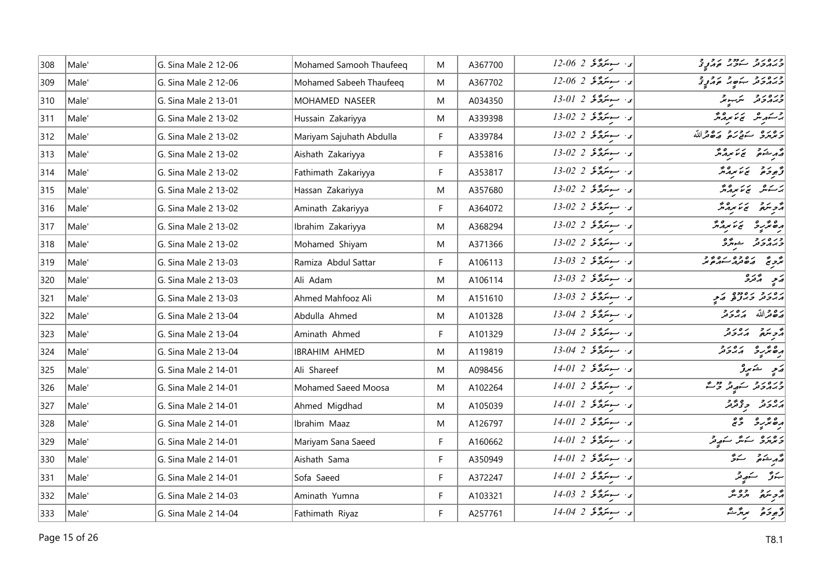| 308 | Male' | G. Sina Male 2 12-06 | Mohamed Samooh Thaufeeq  | M         | A367700 | $12-06$ 2 مىرتىزىكى 2 .06                                        | وره د و هم د و و د و و<br>  <i>و بر و</i> و تر مشرح بر محمد و تح                                                                                                                                                                                                                                                               |
|-----|-------|----------------------|--------------------------|-----------|---------|------------------------------------------------------------------|--------------------------------------------------------------------------------------------------------------------------------------------------------------------------------------------------------------------------------------------------------------------------------------------------------------------------------|
| 309 | Male' | G. Sina Male 2 12-06 | Mohamed Sabeeh Thaufeeg  | M         | A367702 | $12-06$ $2\,$ خوشرة محمد $\cdot$                                 | ورەرو بەھد ئەروپى                                                                                                                                                                                                                                                                                                              |
| 310 | Male' | G. Sina Male 2 13-01 | MOHAMED NASEER           | M         | A034350 | $13-01$ 2 موسَّرَةَ 3 $01$                                       | وره رو شرید و                                                                                                                                                                                                                                                                                                                  |
| 311 | Male' | G. Sina Male 2 13-02 | Hussain Zakariyya        | M         | A339398 | $13-02$ $2\frac{2}{3}$ $\frac{2}{3}$ $\frac{2}{3}$ $\frac{2}{3}$ | 2 كور محد مريد                                                                                                                                                                                                                                                                                                                 |
| 312 | Male' | G. Sina Male 2 13-02 | Mariyam Sajuhath Abdulla | F         | A339784 | $13-02$ $2\,$ يَسْتَغَرَّعُ $\cdot$ 3.5 $\cdot$                  | و مره برورو بره والله                                                                                                                                                                                                                                                                                                          |
| 313 | Male' | G. Sina Male 2 13-02 | Aishath Zakariyya        | F         | A353816 | $13-02$ $2$ $55 - -1$                                            | أما ويدده وتمكن مرمار                                                                                                                                                                                                                                                                                                          |
| 314 | Male' | G. Sina Male 2 13-02 | Fathimath Zakariyya      | F         | A353817 | $13-02$ $2$ $55 - -1$                                            | توجدة بمنسه والمحمد                                                                                                                                                                                                                                                                                                            |
| 315 | Male' | G. Sina Male 2 13-02 | Hassan Zakariyya         | M         | A357680 | $13-02$ $2\,$ د سوسَرَدَ د $\cdot$ - $\cdot$                     | يرسكس يمايرور                                                                                                                                                                                                                                                                                                                  |
| 316 | Male' | G. Sina Male 2 13-02 | Aminath Zakariyya        | F         | A364072 | $13-02$ يەمترىگە 2 $\cdot$ 13-                                   | أأوسكم بمكتبر والمر                                                                                                                                                                                                                                                                                                            |
| 317 | Male' | G. Sina Male 2 13-02 | Ibrahim Zakariyya        | M         | A368294 | $13-02$ $2$ $55 - -1$                                            | رە ئەر ئى ئىرمىد                                                                                                                                                                                                                                                                                                               |
| 318 | Male' | G. Sina Male 2 13-02 | Mohamed Shiyam           | M         | A371366 | $13-02$ ي سوپترنځ كى 2                                           | ور ه ر و ده<br>وبربروتر شوبرو                                                                                                                                                                                                                                                                                                  |
| 319 | Male' | G. Sina Male 2 13-03 | Ramiza Abdul Sattar      | F         | A106113 | $13-03$ $2\,$ د سوسَرَدَّ د 3.                                   | 2010201224                                                                                                                                                                                                                                                                                                                     |
| 320 | Male' | G. Sina Male 2 13-03 | Ali Adam                 | M         | A106114 | $13-03$ $2\,$ د سومترنگر 2                                       | پر په پره                                                                                                                                                                                                                                                                                                                      |
| 321 | Male' | G. Sina Male 2 13-03 | Ahmed Mahfooz Ali        | ${\sf M}$ | A151610 | $13-03$ $2\,$ خوشرده د $\big $                                   | رور د دوده کرد                                                                                                                                                                                                                                                                                                                 |
| 322 | Male' | G. Sina Male 2 13-04 | Abdulla Ahmed            | ${\sf M}$ | A101328 | $13-04$ $2\,$ د سومترنگر 2                                       | أرەقمەللە مەدرە                                                                                                                                                                                                                                                                                                                |
| 323 | Male' | G. Sina Male 2 13-04 | Aminath Ahmed            | F         | A101329 | $13-04$ $2$ $55-12$                                              | أترجعته المتحصر                                                                                                                                                                                                                                                                                                                |
| 324 | Male' | G. Sina Male 2 13-04 | IBRAHIM AHMED            | M         | A119819 | $13-04$ 2 مېغىزىكى كىلى                                          | رە ئۆر ئەرەر د                                                                                                                                                                                                                                                                                                                 |
| 325 | Male' | G. Sina Male 2 14-01 | Ali Shareef              | M         | A098456 | $14-01$ $2\,$ د سومترده کر $\big $                               | أركمني المستورين                                                                                                                                                                                                                                                                                                               |
| 326 | Male' | G. Sina Male 2 14-01 | Mohamed Saeed Moosa      | M         | A102264 | $14-01$ $2\,$ د سوسَرَدَّ د $\cdot$ - د ا                        | ورەرو سەرە دەم                                                                                                                                                                                                                                                                                                                 |
| 327 | Male' | G. Sina Male 2 14-01 | Ahmed Migdhad            | M         | A105039 | $14-01$ $2$ $55-1$                                               | د ه د د ه و د و<br>  د برو تر د و ترتر                                                                                                                                                                                                                                                                                         |
| 328 | Male' | G. Sina Male 2 14-01 | Ibrahim Maaz             | M         | A126797 | $14-01$ $2\,$ د سوسَرَدَّ د $\,$                                 | $\begin{bmatrix} 0 & 0 & 0 & 0 \\ 0 & 0 & 0 & 0 \\ 0 & 0 & 0 & 0 \\ 0 & 0 & 0 & 0 \\ 0 & 0 & 0 & 0 \\ 0 & 0 & 0 & 0 \\ 0 & 0 & 0 & 0 \\ 0 & 0 & 0 & 0 \\ 0 & 0 & 0 & 0 \\ 0 & 0 & 0 & 0 \\ 0 & 0 & 0 & 0 \\ 0 & 0 & 0 & 0 & 0 \\ 0 & 0 & 0 & 0 & 0 \\ 0 & 0 & 0 & 0 & 0 \\ 0 & 0 & 0 & 0 & 0 \\ 0 & 0 & 0 & 0 & 0 \\ 0 & 0 & $ |
| 329 | Male' | G. Sina Male 2 14-01 | Mariyam Sana Saeed       | F         | A160662 | $14-01$ $2\,$ د سومترگ                                           | د وړه له شر کرد په                                                                                                                                                                                                                                                                                                             |
| 330 | Male' | G. Sina Male 2 14-01 | Aishath Sama             | F         | A350949 | $14-01$ $2\,$ د سوسَرَدَّ د $\cdot$ - د ا                        | أقدم شوقر المستوقر                                                                                                                                                                                                                                                                                                             |
| 331 | Male' | G. Sina Male 2 14-01 | Sofa Saeed               | F         | A372247 | $14-01$ $2$ $55-1$                                               | ښوژ ستهينژ                                                                                                                                                                                                                                                                                                                     |
| 332 | Male' | G. Sina Male 2 14-03 | Aminath Yumna            | F         | A103321 | $14-03$ $2\,$ د سوسَرَدَ خ                                       | أأزجر سترجد الردائر                                                                                                                                                                                                                                                                                                            |
| 333 | Male' | G. Sina Male 2 14-04 | Fathimath Riyaz          | F         | A257761 | $14-04$ $2\,$ د سومترنځو 2                                       | أزُّهِ دَءُ مِنْ مِنْ                                                                                                                                                                                                                                                                                                          |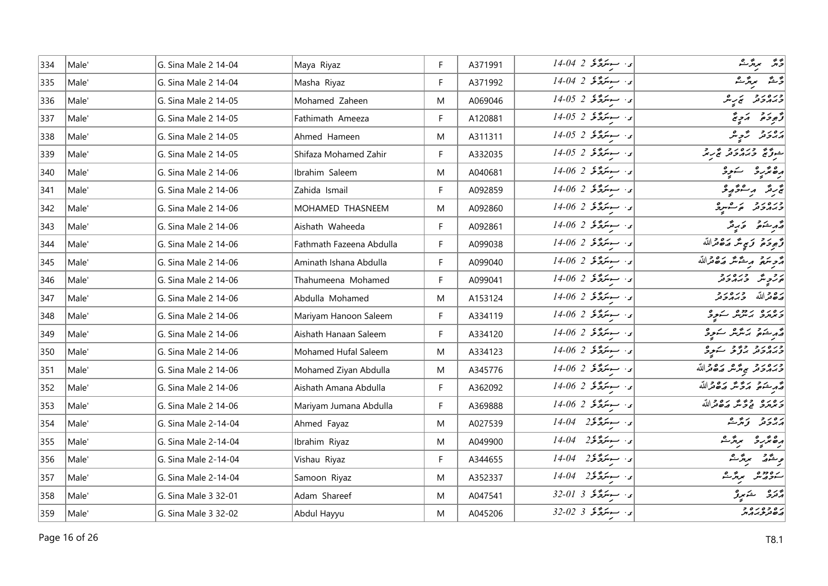| 334 | Male' | G. Sina Male 2 14-04 | Maya Riyaz               | F           | A371991 | $14-04$ $2\,$ د سوسَرَدَ د 14-04 $\,$                                                                                                                                                                                                                                           | لترميز سربر المحمد المحمد                 |
|-----|-------|----------------------|--------------------------|-------------|---------|---------------------------------------------------------------------------------------------------------------------------------------------------------------------------------------------------------------------------------------------------------------------------------|-------------------------------------------|
|     |       |                      |                          |             |         |                                                                                                                                                                                                                                                                                 |                                           |
| 335 | Male' | G. Sina Male 2 14-04 | Masha Riyaz              | F           | A371992 | $14-04$ 2 $33-11$                                                                                                                                                                                                                                                               | گرشگر سرگر شر                             |
| 336 | Male' | G. Sina Male 2 14-05 | Mohamed Zaheen           | M           | A069046 | $14-05$ $2\,$ يَسْتَرَدُّ عَزْمَةَ $\cdot$ 5 $\cdot$                                                                                                                                                                                                                            | ورەرو پەر                                 |
| 337 | Male' | G. Sina Male 2 14-05 | Fathimath Ameeza         | F           | A120881 | $14-05$ $2$ $55-1$                                                                                                                                                                                                                                                              | أزَّوِدَةُ أَرَدٍ لَمْ                    |
| 338 | Male' | G. Sina Male 2 14-05 | Ahmed Hameen             | M           | A311311 | $14-05$ $2\,$ خوشگاه $\cdot$ - خوشگاه $\cdot$                                                                                                                                                                                                                                   | دەر د ئېچىگە                              |
| 339 | Male' | G. Sina Male 2 14-05 | Shifaza Mohamed Zahir    | $\mathsf F$ | A332035 | $14-05$ $2\,$ لاسوسَرَدَّ دَ $\,$                                                                                                                                                                                                                                               | أحودٌ من وره دو و محر من                  |
| 340 | Male' | G. Sina Male 2 14-06 | Ibrahim Saleem           | M           | A040681 | $14-06$ $2\,$ خوشرده د $\cdot$ - د ا                                                                                                                                                                                                                                            | أرە ئۆر ئەبەر ئار                         |
| 341 | Male' | G. Sina Male 2 14-06 | Zahida Ismail            | F           | A092859 | $14-06$ $2\,$ خوشرده د $\sim$                                                                                                                                                                                                                                                   | لتحريقه ويستخرموهم                        |
| 342 | Male' | G. Sina Male 2 14-06 | MOHAMED THASNEEM         | ${\sf M}$   | A092860 | $14-06$ 2 د سومترنځو 2                                                                                                                                                                                                                                                          | ورەرو برەسرو                              |
| 343 | Male' | G. Sina Male 2 14-06 | Aishath Waheeda          | F           | A092861 | $14-06$ 2 $55 - -$                                                                                                                                                                                                                                                              | أشهر مشكمة المحاسر فكر                    |
| 344 | Male' | G. Sina Male 2 14-06 | Fathmath Fazeena Abdulla | F           | A099038 | $14-06$ 2 موسَّرة و 14-06                                                                                                                                                                                                                                                       | قَرْجِرْحَةً وَسِيِّسٌ مَهْ قَدْاللّهِ    |
| 345 | Male' | G. Sina Male 2 14-06 | Aminath Ishana Abdulla   | F           | A099040 | $14-06$ $2\,$ يَسْتَغَرَّعُ $\cdot$ 5                                                                                                                                                                                                                                           | مَّحْمِتْتُمْ مِنْ مِنْ مَنْ مِنْ اللَّهُ |
| 346 | Male' | G. Sina Male 2 14-06 | Thahumeena Mohamed       | F           | A099041 | $14-06$ $2\,$ د سومترنځو 2                                                                                                                                                                                                                                                      | أورد وبثر وبرورد                          |
| 347 | Male' | G. Sina Male 2 14-06 | Abdulla Mohamed          | ${\sf M}$   | A153124 | $14-06$ $2\,$ خَرْمَتْدَ حَرْبَعَةَ مَسْتَقَدَّرَ مَسْتَقَدَّمَتْ $\left  \begin{array}{ccc} 2 & \frac{1}{2} & \frac{1}{2} & \frac{1}{2} \\ \frac{1}{2} & \frac{1}{2} & \frac{1}{2} & \frac{1}{2} \\ \frac{1}{2} & \frac{1}{2} & \frac{1}{2} & \frac{1}{2} \end{array} \right $ | رە داللە دىرە دو                          |
| 348 | Male' | G. Sina Male 2 14-06 | Mariyam Hanoon Saleem    | F           | A334119 | $14-06$ 2 مېغمۇكى 2 $\cdot$                                                                                                                                                                                                                                                     | د ه ده بردوه کردو                         |
| 349 | Male' | G. Sina Male 2 14-06 | Aishath Hanaan Saleem    | F           | A334120 | $14-06$ $2$ $55 - -1$                                                                                                                                                                                                                                                           | أقهر خنقي برنترنتر كتوري                  |
| 350 | Male' | G. Sina Male 2 14-06 | Mohamed Hufal Saleem     | M           | A334123 | $14-06$ $2\,$ لِمَسْتَرَكَّرُ $\,$ $\cdot$ $\,$                                                                                                                                                                                                                                 | در در در در در در در                      |
| 351 | Male' | G. Sina Male 2 14-06 | Mohamed Ziyan Abdulla    | M           | A345776 | $14-06$ 2 موسَّرة و 14-06                                                                                                                                                                                                                                                       | دبره د د پروتر رومرالله                   |
| 352 | Male' | G. Sina Male 2 14-06 | Aishath Amana Abdulla    | F.          | A362092 | $14-06$ $2\,$ لِمَسْتَرَقَّةَ $\,$                                                                                                                                                                                                                                              | أقهر ينحو مخش وهذالله                     |
| 353 | Male' | G. Sina Male 2 14-06 | Mariyam Jumana Abdulla   | $\mathsf F$ | A369888 | $14-06$ $2\,$ يَسْتَرَكَّرُ $\,$ $\cdot$ $\,$                                                                                                                                                                                                                                   | رەرە دەپرەدەدالله                         |
| 354 | Male' | G. Sina Male 2-14-04 | Ahmed Fayaz              | ${\sf M}$   | A027539 | $14-04$ $255-1$                                                                                                                                                                                                                                                                 | دەرو كەرگ                                 |
| 355 | Male' | G. Sina Male 2-14-04 | Ibrahim Riyaz            | M           | A049900 | $\overline{14\text{-}04}$ 25 موسَعَة كو                                                                                                                                                                                                                                         | أرەنزىر ئىرىزىش                           |
| 356 | Male' | G. Sina Male 2-14-04 | Vishau Riyaz             | F           | A344655 | $14-04$ $255-1$ ، سومتردس $\frac{25}{3}$                                                                                                                                                                                                                                        | ویشمر بروگریم                             |
| 357 | Male' | G. Sina Male 2-14-04 | Samoon Riyaz             | M           | A352337 | $14-04$ $255-1$                                                                                                                                                                                                                                                                 | مروروه مرکز م                             |
| 358 | Male' | G. Sina Male 3 32-01 | Adam Shareef             | M           | A047541 | $32-01$ $3\frac{2}{3}$ ی۰ سوئترنگر 3                                                                                                                                                                                                                                            | پج ر ہ<br>مرکز<br>ىشكىرۇ                  |
| 359 | Male' | G. Sina Male 3 32-02 | Abdul Hayyu              | M           | A045206 | $32-02$ $33-22$                                                                                                                                                                                                                                                                 | ر ه و ه د ه د<br>پره تروبر در             |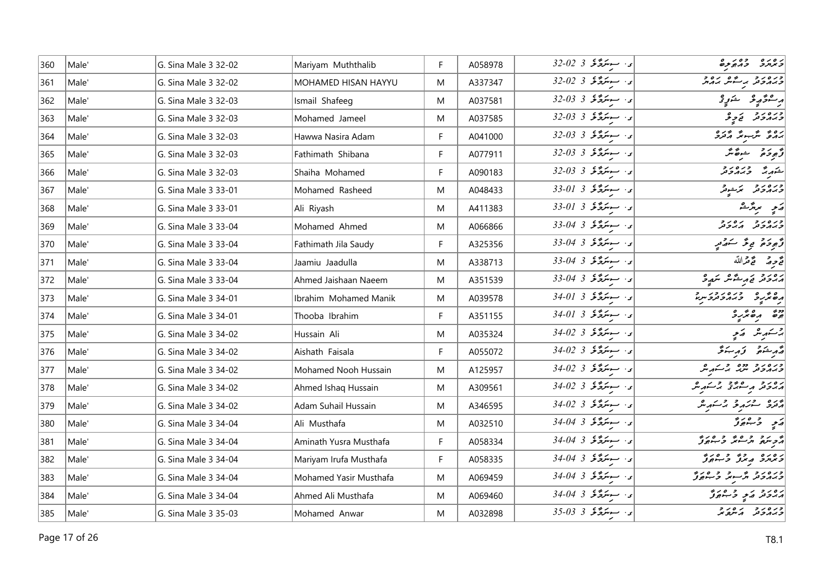| 360 | Male' | G. Sina Male 3 32-02 | Mariyam Muththalib         | F         | A058978 | $32-02$ $33-22$ د .                      | و ده ده ده ده                               |
|-----|-------|----------------------|----------------------------|-----------|---------|------------------------------------------|---------------------------------------------|
| 361 | Male' | G. Sina Male 3 32-02 | <b>MOHAMED HISAN HAYYU</b> | M         | A337347 | $32-02$ ى مېغىزى 3 2-02                  | ورەرو برگە رەد                              |
| 362 | Male' | G. Sina Male 3 32-03 | Ismail Shafeeg             | M         | A037581 | $32-03$ $3$ $55-1$                       | پر شوگور چې د شور په د                      |
| 363 | Male' | G. Sina Male 3 32-03 | Mohamed Jameel             | M         | A037585 | $32-03$ $3\,$ خوشۇ 3 3 3 3 3 .           | ورەر د دېگ                                  |
| 364 | Male' | G. Sina Male 3 32-03 | Hawwa Nasira Adam          | F         | A041000 | $32-03$ ى مېتمىنى 3 3 د 32-03            | رەپ شەرىر مەرە                              |
| 365 | Male' | G. Sina Male 3 32-03 | Fathimath Shibana          | F         | A077911 | $32-03$ ى جىتمىگى 3 3 .                  | أَرْجُوحَةً شَوَّةٌ مَّرٌ                   |
| 366 | Male' | G. Sina Male 3 32-03 | Shaiha Mohamed             | F         | A090183 | $32-03$ $3\frac{2}{3}$ ی۰ سونترنگر 3     | أشهر وره دو                                 |
| 367 | Male' | G. Sina Male 3 33-01 | Mohamed Rasheed            | ${\sf M}$ | A048433 | $33-01$ $33-02$ $-1$                     | ورەر و پرَجونر                              |
| 368 | Male' | G. Sina Male 3 33-01 | Ali Riyash                 | ${\sf M}$ | A411383 | ى سىنى <b>ر ئىنى 3</b> 3-01 ك            | أركمو المرتزك                               |
| 369 | Male' | G. Sina Male 3 33-04 | Mohamed Ahmed              | M         | A066866 | $33-04$ 3 كمبترگى 3 40-33                | כנסנכ נסנכ<br>כ <i>ג</i> וכנ וגבנ           |
| 370 | Male' | G. Sina Male 3 33-04 | Fathimath Jila Saudy       | F         | A325356 | $33-04$ $3\frac{2}{3}$ ى سىسترىنى 3      | قُرُوحَ و عَنْ سَنَ يَوْ اللَّهِ اللَّهِ    |
| 371 | Male' | G. Sina Male 3 33-04 | Jaamiu Jaadulla            | M         | A338713 | $33-04$ 3 كمبترگى 3 40-33                | قَدِيرٌ قَمَّقْرَاللَّهُ                    |
| 372 | Male' | G. Sina Male 3 33-04 | Ahmed Jaishaan Naeem       | M         | A351539 | $33-04$ $33-04$ $-1$                     | أبرور و مر الشرير المركز المركز             |
| 373 | Male' | G. Sina Male 3 34-01 | Ibrahim Mohamed Manik      | M         | A039578 | $34-01$ $3\frac{2}{3}$ ی۰ سونترنځ کی     | ו פיציב במחכתבת                             |
| 374 | Male' | G. Sina Male 3 34-01 | Thooba Ibrahim             | F         | A351155 | $34-01$ $33-22$ ، مسترده د               |                                             |
| 375 | Male' | G. Sina Male 3 34-02 | Hussain Ali                | ${\sf M}$ | A035324 | $34-02$ $33-22$ ، موسَر                  | چرىشىمە ھەمچە                               |
| 376 | Male' | G. Sina Male 3 34-02 | Aishath Faisala            | F         | A055072 | $34-02$ $3\frac{2}{3}$ ی سوسَرَدَّ د     | أقهر شكافح وترسكوهما                        |
| 377 | Male' | G. Sina Male 3 34-02 | Mohamed Nooh Hussain       | M         | A125957 | $34-02$ 3 موسَرَةَ 3 34-02               | وره رو دوه و ره<br>د براد ولم سربر بر خور ش |
| 378 | Male' | G. Sina Male 3 34-02 | Ahmed Ishaq Hussain        | M         | A309561 | $34-02$ $3$ $55 - -1$                    | أرەر د مەسمەتى بر سەر ش                     |
| 379 | Male' | G. Sina Male 3 34-02 | Adam Suhail Hussain        | M         | A346595 | $34-02$ $3\frac{2}{3}$ ى سومترگە 34-02   | أيمنده كمشتر ومحر بمسكر بمرتكز              |
| 380 | Male' | G. Sina Male 3 34-04 | Ali Musthafa               | M         | A032510 | $34-04$ $3\,$ يې مسترگى كى 34-04 $\cdot$ | أركموا ومستوفر                              |
| 381 | Male' | G. Sina Male 3 34-04 | Aminath Yusra Musthafa     | F         | A058334 | $34-04$ $33-22$                          | و مرد ده و دره                              |
| 382 | Male' | G. Sina Male 3 34-04 | Mariyam Irufa Musthafa     | F         | A058335 | $34-04$ $3\,$ يې مسترگى كى 34-04 $\cdot$ | ويردو معرق ومبوق                            |
| 383 | Male' | G. Sina Male 3 34-04 | Mohamed Yasir Musthafa     | M         | A069459 | $34-04$ $3\,$ يې مسترگى كى 34-04 $\,$    | ورەر و سر و مرد                             |
| 384 | Male' | G. Sina Male 3 34-04 | Ahmed Ali Musthafa         | M         | A069460 | $34-04$ 3 $55 - -$                       | ړ ور د په د د ورو                           |
| 385 | Male' | G. Sina Male 3 35-03 | Mohamed Anwar              | ${\sf M}$ | A032898 | $35-03$ $3\,$ خوشرده د 35-33 .           | כנסנכ נסנכ<br>כגובנג גיינפיג                |
|     |       |                      |                            |           |         |                                          |                                             |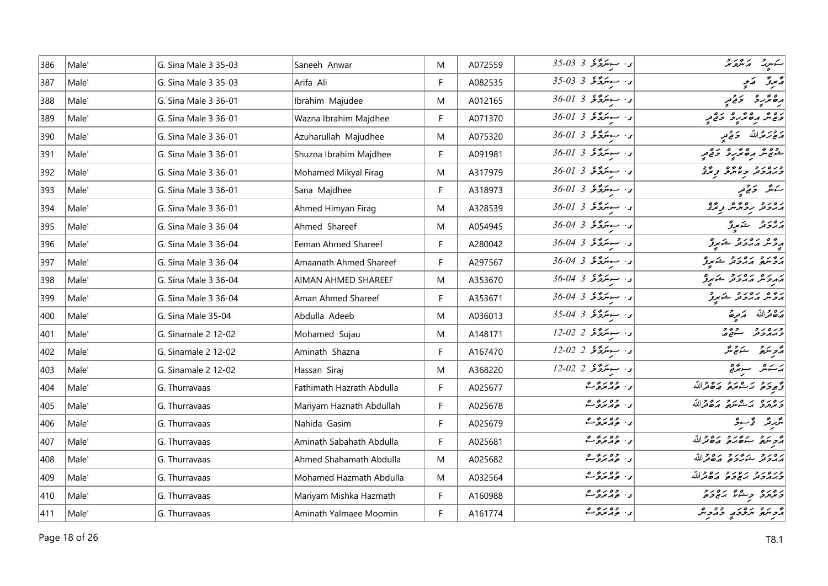| 386 | Male' | G. Sina Male 3 35-03 | Saneeh Anwar              | M         | A072559 | $35 - 03$ $3$ $55 - 12$                   | ەر ئەر<br> سەمىدىر                                                                                    |
|-----|-------|----------------------|---------------------------|-----------|---------|-------------------------------------------|-------------------------------------------------------------------------------------------------------|
| 387 | Male' | G. Sina Male 3 35-03 | Arifa Ali                 | F         | A082535 | $35-03$ $3$ $55-03$                       | ۇ بىرقە كەمپە                                                                                         |
| 388 | Male' | G. Sina Male 3 36-01 | Ibrahim Majudee           | ${\sf M}$ | A012165 | $36-01$ $33-22$ مسترده کر                 |                                                                                                       |
| 389 | Male' | G. Sina Male 3 36-01 | Wazna Ibrahim Majdhee     | F         | A071370 | $36-01$ $3$ $55-1$                        | و مي گره گرگرو کو دو بر                                                                               |
| 390 | Male' | G. Sina Male 3 36-01 | Azuharullah Majudhee      | ${\sf M}$ | A075320 | $36-01$ $3$ $55-1$                        | بروبر والله كروبر                                                                                     |
| 391 | Male' | G. Sina Male 3 36-01 | Shuzna Ibrahim Majdhee    | F         | A091981 | $36-01$ $3\frac{2}{3}$ ى سوسَرَدَ د       | فشمش مەھمىر 3 دەم                                                                                     |
| 392 | Male' | G. Sina Male 3 36-01 | Mohamed Mikyal Firag      | M         | A317979 | $36-01$ $33-20$ - $-$                     | ورەرد و ئەۋە بەلگە                                                                                    |
| 393 | Male' | G. Sina Male 3 36-01 | Sana Majdhee              | F         | A318973 |                                           | سەنىڭ كەنقى بېر                                                                                       |
| 394 | Male' | G. Sina Male 3 36-01 | Ahmed Himyan Firag        | M         | A328539 | $36-01$ $33-20$                           | أرور و رو پژو و پژو                                                                                   |
| 395 | Male' | G. Sina Male 3 36-04 | Ahmed Shareef             | M         | A054945 | $36-04$ $3\,$ خوشرده د $\sim$             | پرورو شکرو                                                                                            |
| 396 | Male' | G. Sina Male 3 36-04 | Eeman Ahmed Shareef       | F         | A280042 | $36-04$ $3$ $55-12$                       | و و ده د و د عمود                                                                                     |
| 397 | Male' | G. Sina Male 3 36-04 | Amaanath Ahmed Shareef    | F         | A297567 | $36-04$ $33-22$ مسترده کر                 |                                                                                                       |
| 398 | Male' | G. Sina Male 3 36-04 | AIMAN AHMED SHAREEF       | M         | A353670 | $36-04$ $3$ $55-12$                       | مەدەر مەدد خىرۇ                                                                                       |
| 399 | Male' | G. Sina Male 3 36-04 | Aman Ahmed Shareef        | F         | A353671 | $36-04$ $3$ $55-12$                       | ر و ما د و د و سکارو                                                                                  |
| 400 | Male' | G. Sina Male 35-04   | Abdulla Adeeb             | M         | A036013 | $35-04$ $33-22$                           | ح محمدالله مرمرح                                                                                      |
| 401 | Male' | G. Sinamale 2 12-02  | Mohamed Sujau             | M         | A148171 | $12 - 02$ $2$ $55 - -$                    | ور ور و دو و<br>تربر دو سرق در                                                                        |
| 402 | Male' | G. Sinamale 2 12-02  | Aminath Shazna            | F         | A167470 | $12-02$ $2\,$ خَرْمَتْرَ حَمْدَ $\cdot$ 5 | مەھ ئىكى ئىكەن ئىكەن ئىكەن ئىكەن ئىكەن ئىكەن ئىكەن ئىكەن ئىكەن ئىكەن ئىكەن ئىكەن ئىكەن ئىكەن ئىكەن ئە |
| 403 | Male' | G. Sinamale 2 12-02  | Hassan Siraj              | M         | A368220 | $12 - 02$ $2$ $55 - -$                    | پرستہ سے پینچ                                                                                         |
| 404 | Male' | G. Thurravaas        | Fathimath Hazrath Abdulla | F         | A025677 | د وه برخ ه<br>د ۱۶ مرمو ک                 | و برد بر مرد بره دالله                                                                                |
| 405 | Male' | G. Thurravaas        | Mariyam Haznath Abdullah  | F         | A025678 | د وه برخ ه<br>د وربرخ ه                   | ره ره بر مرد ره دالله                                                                                 |
| 406 | Male' | G. Thurravaas        | Nahida Gasim              | F         | A025679 | د وه برخ ه.<br>د وربرخ گ                  | شرىرقى قۇسوق                                                                                          |
| 407 | Male' | G. Thurravaas        | Aminath Sabahath Abdulla  | F         | A025681 | د وه برخ ه.<br>د وربرخ گ                  | و برد به دوره در الله                                                                                 |
| 408 | Male' | G. Thurravaas        | Ahmed Shahamath Abdulla   | M         | A025682 | د وه رو ه<br>د ومرکزه ک                   | بره رو برورو بره والله                                                                                |
| 409 | Male' | G. Thurravaas        | Mohamed Hazmath Abdulla   | M         | A032564 | د وه رو م                                 | وره رو بره رو بره و الله                                                                              |
| 410 | Male' | G. Thurravaas        | Mariyam Mishka Hazmath    | F         | A160988 | د مور پروگر ه<br>د ۱ مور بروگ             | د وره و شره بره د د                                                                                   |
| 411 | Male' | G. Thurravaas        | Aminath Yalmaee Moomin    | F         | A161774 | د وه برخ ه.<br>د وربرخ گ                  | أزوبته مزدد ودوبر                                                                                     |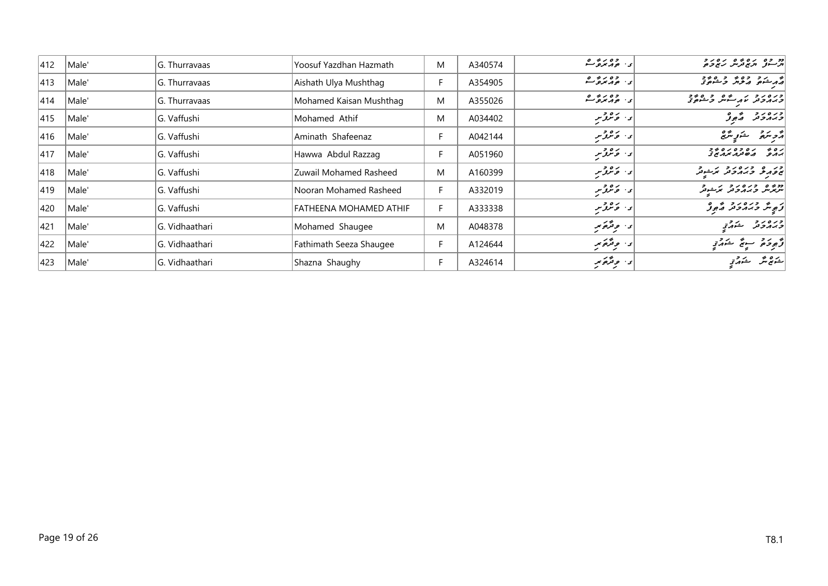| $ 412\rangle$ | lMale' | G. Thurravaas  | Yoosuf Yazdhan Hazmath  | M | A340574 | د موه برخ م                | ור כם גם זים גם גב<br>ת—ני תאמת גאפי               |
|---------------|--------|----------------|-------------------------|---|---------|----------------------------|----------------------------------------------------|
| 413           | lMale' | G. Thurravaas  | Aishath Ulya Mushthag   |   | A354905 | ده ده رو م                 | ه در ده وه و ه و و د                               |
| 414           | Male'  | G. Thurravaas  | Mohamed Kaisan Mushthag | M | A355026 | ى مەمرۇپ                   | ورەرو بەر شەھ ورەپ                                 |
| 415           | lMale' | G. Vaffushi    | Mohamed Athif           | M | A034402 | ى بە ئەرەم بىر             | وره رو وه و                                        |
| 416           | Male'  | G. Vaffushi    | Aminath Shafeenaz       |   | A042144 | ( <sup>ی ک</sup> مروکر     | لتمرسكر<br>ڪوپر سگھ                                |
| 417           | Male'  | G. Vaffushi    | Hawwa Abdul Razzag      |   | A051960 | <sub>ا</sub> ی که مروم     | גם בי הפכס הסיביב<br>  ההפ השינה התהיב             |
| 418           | Male'  | G. Vaffushi    | Zuwail Mohamed Rasheed  | M | A160399 | <mark>ء کا مارو</mark> مبر | ور و ورەرو رو.<br> ج ق.م.ئر ت. <i>م.د</i> وتر برخې |
| 419           | Male'  | G. Vaffushi    | Nooran Mohamed Rasheed  |   | A332019 | <mark>ء کا مارو</mark> مبر | دوه ۵ ور۰۵ و د در د<br>  سربرس وبرووتر برخوتر      |
| 420           | Male'  | G. Vaffushi    | FATHEENA MOHAMED ATHIF  |   | A333338 | (ی- ن <i>مرو</i> مبر       | كري من وره د د و و و                               |
| 421           | Male'  | G. Vidhaathari | Mohamed Shaugee         | M | A048378 | ا <sup>ی و</sup> رتمونر    | ورەرو شەد                                          |
| 422           | Male'  | G. Vidhaathari | Fathimath Seeza Shaugee |   | A124644 | ى وِتَرْبَوَبِرِ           | أَرْجُوحَهُمْ سُوءٌ شَوَرُتٍ                       |
| 423           | Male'  | G. Vidhaathari | Shazna Shaughy          |   | A324614 | ا <sup>ی ک</sup> ونگهگیم   | شەم ئىگر سىكەتمى                                   |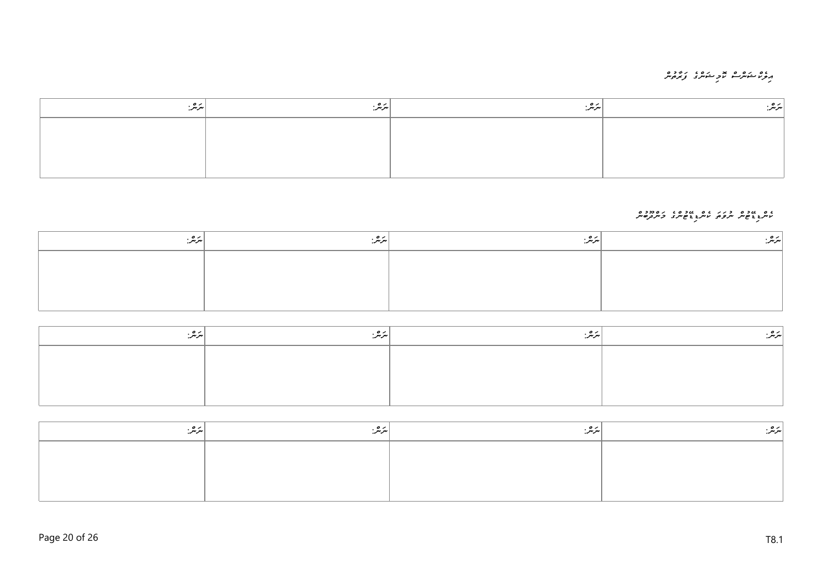## *w7qAn8m? sCw7mRo>u; wEw7mRw;sBo<*

| ' مرمر | 'يئرىثر: |
|--------|----------|
|        |          |
|        |          |
|        |          |

## *w7q9r@w7m> sCw7qHtFoFw7s; mAm=q7 w7qHtFoFw7s;*

| ىر تە | $\mathcal{O} \times$<br>$\sim$ | $\sim$<br>. . | لترنثر |
|-------|--------------------------------|---------------|--------|
|       |                                |               |        |
|       |                                |               |        |
|       |                                |               |        |

| انترنثر: | $^{\circ}$ | يبرهر | $^{\circ}$<br>سرسر |
|----------|------------|-------|--------------------|
|          |            |       |                    |
|          |            |       |                    |
|          |            |       |                    |

| ' ئىرتىر: | مر سر |  |
|-----------|-------|--|
|           |       |  |
|           |       |  |
|           |       |  |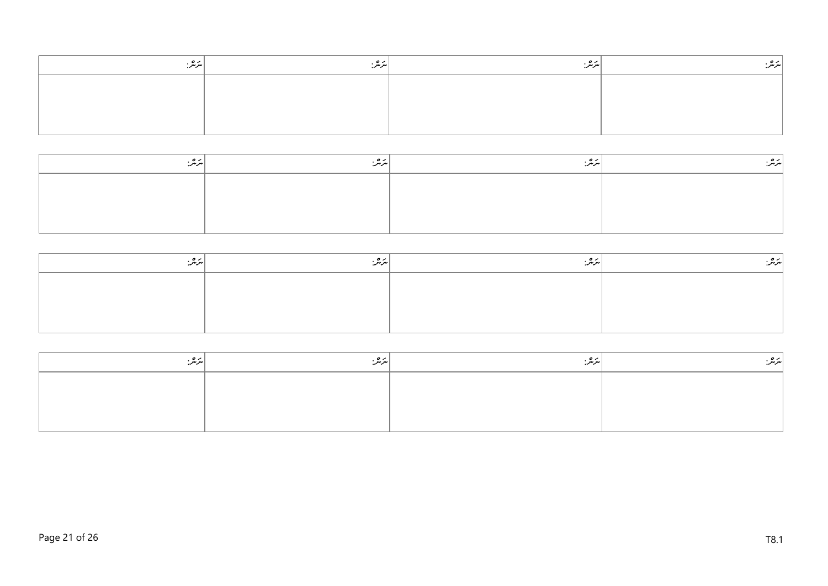| يره. | ο. | ا ير ه |  |
|------|----|--------|--|
|      |    |        |  |
|      |    |        |  |
|      |    |        |  |

| <sup>.</sup> سرسر. |  |
|--------------------|--|
|                    |  |
|                    |  |
|                    |  |

| ىرتىر: | $\sim$ | ا بر هه. | لىرىش |
|--------|--------|----------|-------|
|        |        |          |       |
|        |        |          |       |
|        |        |          |       |

| 。<br>مرس. | $\overline{\phantom{a}}$<br>مر مىر | ىرىر |
|-----------|------------------------------------|------|
|           |                                    |      |
|           |                                    |      |
|           |                                    |      |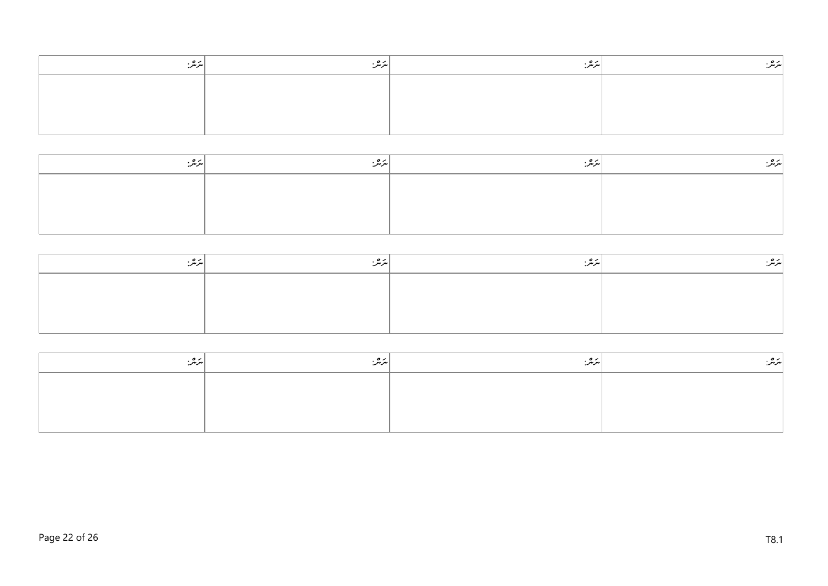| ير هو . | $\overline{\phantom{a}}$ | يرمر | اير هنه. |
|---------|--------------------------|------|----------|
|         |                          |      |          |
|         |                          |      |          |
|         |                          |      |          |

| ىر تىر: | $\circ$ $\sim$<br>" سرسر . | يترمير | o . |
|---------|----------------------------|--------|-----|
|         |                            |        |     |
|         |                            |        |     |
|         |                            |        |     |

| 'تترنثر: | 。<br>,,,, |  |
|----------|-----------|--|
|          |           |  |
|          |           |  |
|          |           |  |

|  | . ه |
|--|-----|
|  |     |
|  |     |
|  |     |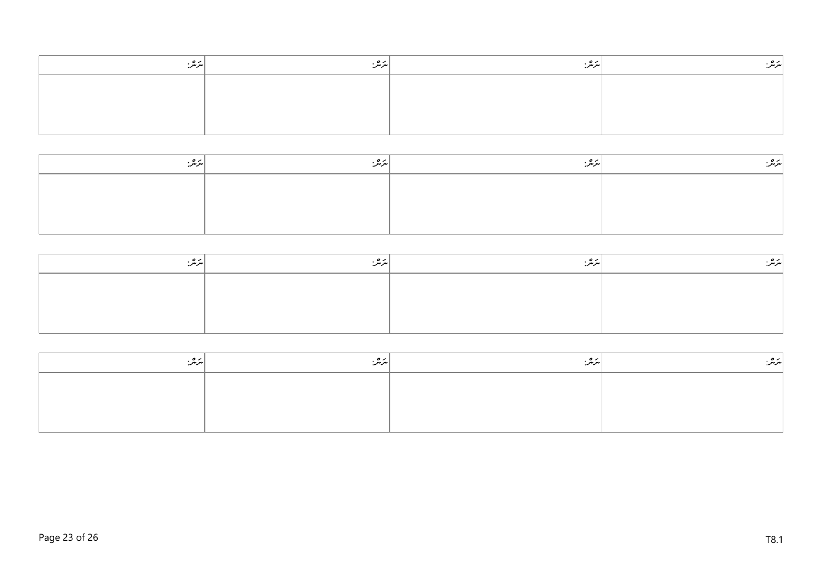| ير هو . | $\overline{\phantom{a}}$ | يرمر | اير هنه. |
|---------|--------------------------|------|----------|
|         |                          |      |          |
|         |                          |      |          |
|         |                          |      |          |

| ىر تىر: | $\circ$ $\sim$<br>" سرسر . | يترمير | o . |
|---------|----------------------------|--------|-----|
|         |                            |        |     |
|         |                            |        |     |
|         |                            |        |     |

| ابترىثر: | $^{\circ}$<br>. . |  |
|----------|-------------------|--|
|          |                   |  |
|          |                   |  |
|          |                   |  |

|  | . ه |
|--|-----|
|  |     |
|  |     |
|  |     |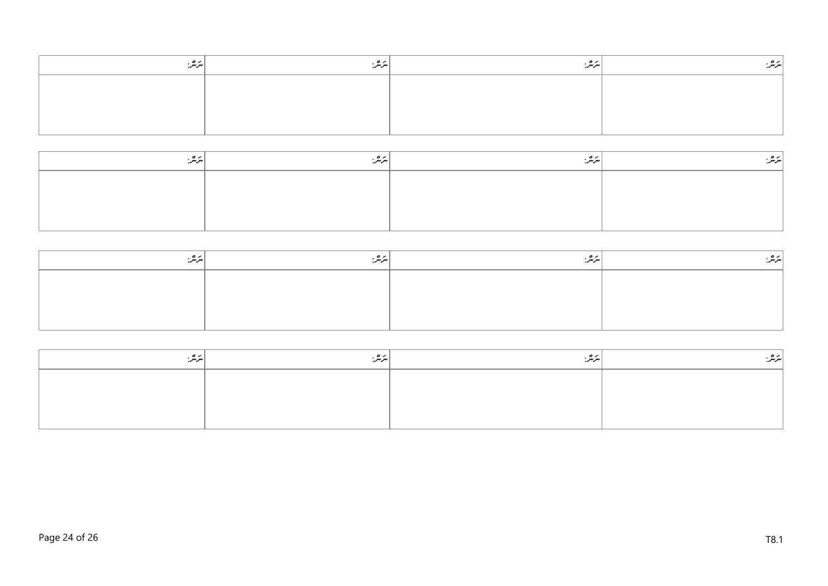| $\cdot$ | 。 | $\frac{\circ}{\cdot}$ | $\sim$<br>سرسر |
|---------|---|-----------------------|----------------|
|         |   |                       |                |
|         |   |                       |                |
|         |   |                       |                |

| يريثن | ' سرسر . |  |
|-------|----------|--|
|       |          |  |
|       |          |  |
|       |          |  |

| بر ه | . ه | $\sim$<br>سرسر |  |
|------|-----|----------------|--|
|      |     |                |  |
|      |     |                |  |
|      |     |                |  |

| 。<br>. س | ىرىىر |  |
|----------|-------|--|
|          |       |  |
|          |       |  |
|          |       |  |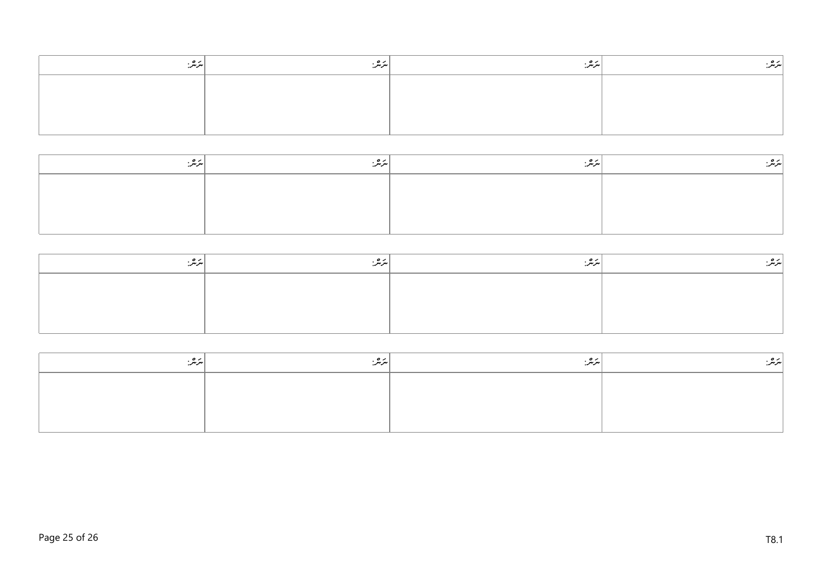| ير هو . | $\overline{\phantom{a}}$ | يرمر | اير هنه. |
|---------|--------------------------|------|----------|
|         |                          |      |          |
|         |                          |      |          |
|         |                          |      |          |

| ىر تىر: | $\circ$ $\sim$<br>" سرسر . | يترمير | o . |
|---------|----------------------------|--------|-----|
|         |                            |        |     |
|         |                            |        |     |
|         |                            |        |     |

| 'تترنثر: | 。<br>,,,, |  |
|----------|-----------|--|
|          |           |  |
|          |           |  |
|          |           |  |

|  | . ه |
|--|-----|
|  |     |
|  |     |
|  |     |